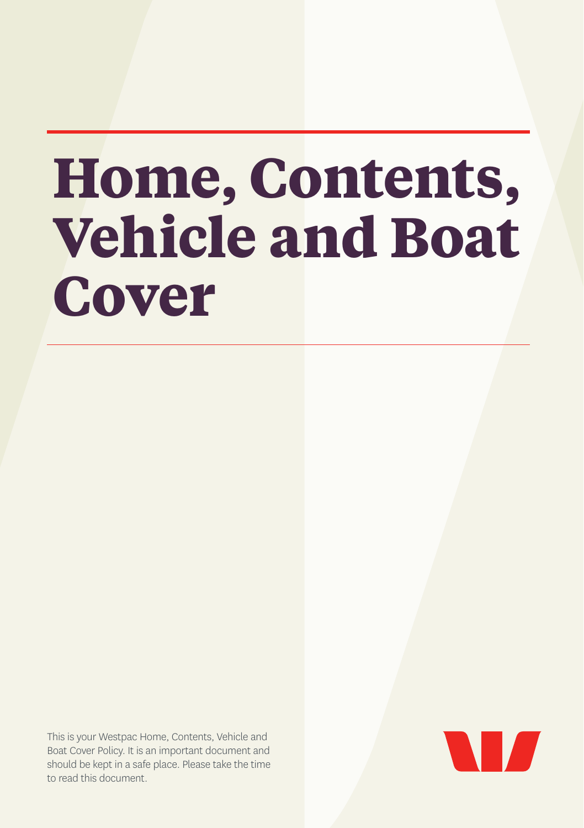# **Home, Contents, Vehicle and Boat Cover**

This is your Westpac Home, Contents, Vehicle and Boat Cover Policy. It is an important document and should be kept in a safe place. Please take the time to read this document.

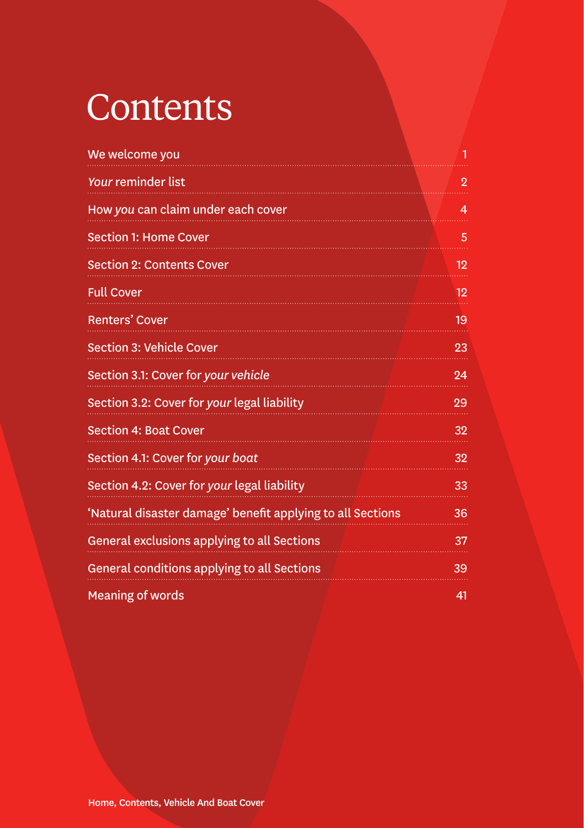## **Contents**

| We welcome you                                             | 1              |
|------------------------------------------------------------|----------------|
| <b>Your reminder list</b>                                  | $\overline{2}$ |
| How you can claim under each cover                         | 4              |
| <b>Section 1: Home Cover</b>                               | 5              |
| <b>Section 2: Contents Cover</b>                           | 12             |
| <b>Full Cover</b>                                          | 12             |
| <b>Renters' Cover</b>                                      | 19             |
| <b>Section 3: Vehicle Cover</b>                            | 23             |
| Section 3.1: Cover for your vehicle                        | 24             |
| Section 3.2: Cover for your legal liability                | 29             |
| <b>Section 4: Boat Cover</b>                               | 32             |
| Section 4.1: Cover for your boat                           | 32             |
| Section 4.2: Cover for your legal liability                | 33             |
| 'Natural disaster damage' benefit applying to all Sections | 36             |
| General exclusions applying to all Sections                | 37             |
| General conditions applying to all Sections                | 39             |
| <b>Meaning of words</b>                                    | 41             |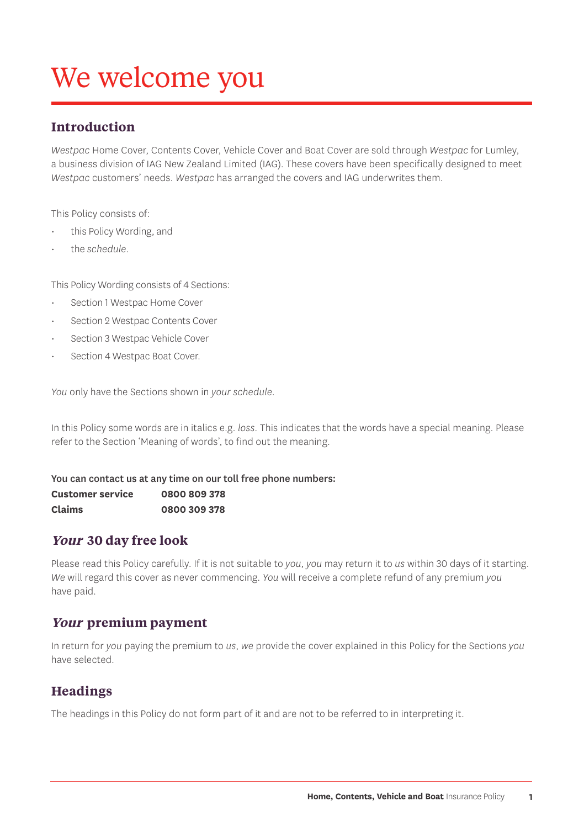## We welcome you

#### **Introduction**

*Westpac* Home Cover, Contents Cover, Vehicle Cover and Boat Cover are sold through *Westpac* for Lumley, a business division of IAG New Zealand Limited (IAG). These covers have been specifically designed to meet *Westpac* customers' needs. *Westpac* has arranged the covers and IAG underwrites them.

This Policy consists of:

- this Policy Wording, and
- the *schedule*.

This Policy Wording consists of 4 Sections:

- Section 1 Westpac Home Cover
- Section 2 Westpac Contents Cover
- Section 3 Westpac Vehicle Cover
- Section 4 Westpac Boat Cover.

*You* only have the Sections shown in *your schedule*.

In this Policy some words are in italics e.g. *loss*. This indicates that the words have a special meaning. Please refer to the Section 'Meaning of words', to find out the meaning.

You can contact us at any time on our toll free phone numbers:

**Customer service 0800 809 378 Claims 0800 309 378**

#### **Your 30 day free look**

Please read this Policy carefully. If it is not suitable to *you*, *you* may return it to *us* within 30 days of it starting. *We* will regard this cover as never commencing. *You* will receive a complete refund of any premium *you* have paid.

#### **Your premium payment**

In return for *you* paying the premium to *us*, *we* provide the cover explained in this Policy for the Sections *you* have selected.

#### **Headings**

The headings in this Policy do not form part of it and are not to be referred to in interpreting it.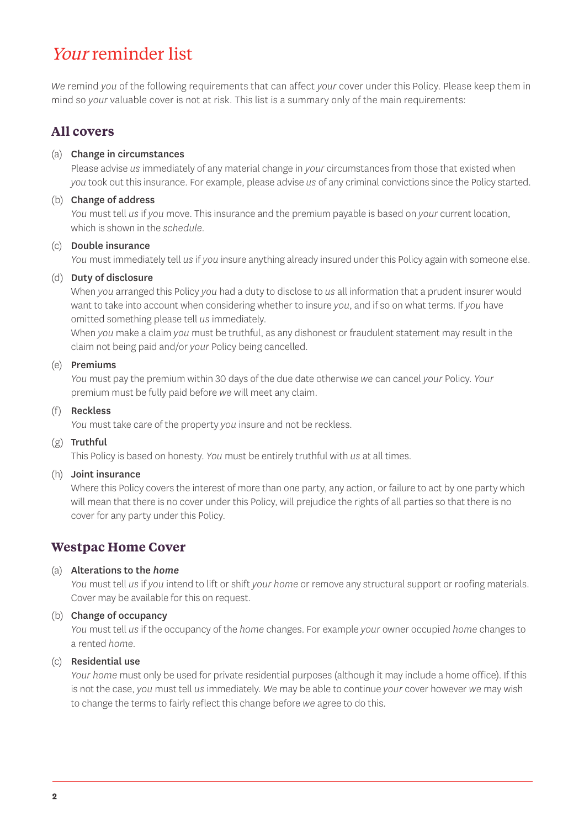## Your reminder list

*We* remind *you* of the following requirements that can affect *your* cover under this Policy. Please keep them in mind so *your* valuable cover is not at risk. This list is a summary only of the main requirements:

#### **All covers**

#### (a) Change in circumstances

Please advise *us* immediately of any material change in *your* circumstances from those that existed when *you* took out this insurance. For example, please advise *us* of any criminal convictions since the Policy started.

#### (b) Change of address

*You* must tell *us* if *you* move. This insurance and the premium payable is based on *your* current location, which is shown in the *schedule*.

#### (c) Double insurance

*You* must immediately tell *us* if *you* insure anything already insured under this Policy again with someone else.

#### (d) Duty of disclosure

When *you* arranged this Policy *you* had a duty to disclose to *us* all information that a prudent insurer would want to take into account when considering whether to insure *you*, and if so on what terms. If *you* have omitted something please tell *us* immediately.

When *you* make a claim *you* must be truthful, as any dishonest or fraudulent statement may result in the claim not being paid and/or *your* Policy being cancelled.

#### (e) Premiums

*You* must pay the premium within 30 days of the due date otherwise *we* can cancel *your* Policy. *Your* premium must be fully paid before *we* will meet any claim.

#### (f) Reckless

*You* must take care of the property *you* insure and not be reckless.

#### (g) Truthful

This Policy is based on honesty. *You* must be entirely truthful with *us* at all times.

#### (h) Joint insurance

Where this Policy covers the interest of more than one party, any action, or failure to act by one party which will mean that there is no cover under this Policy, will prejudice the rights of all parties so that there is no cover for any party under this Policy.

#### **Westpac Home Cover**

#### (a) Alterations to the *home*

*You* must tell *us* if *you* intend to lift or shift *your home* or remove any structural support or roofing materials. Cover may be available for this on request.

#### (b) Change of occupancy

*You* must tell *us* if the occupancy of the *home* changes. For example *your* owner occupied *home* changes to a rented *home*.

#### (c) Residential use

*Your home* must only be used for private residential purposes (although it may include a home office). If this is not the case, *you* must tell *us* immediately. *We* may be able to continue *your* cover however *we* may wish to change the terms to fairly reflect this change before *we* agree to do this.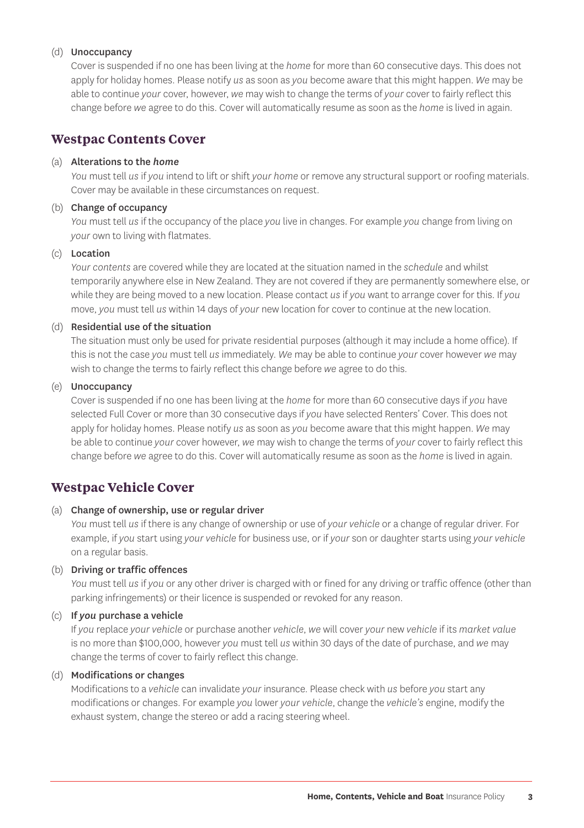#### (d) Unoccupancy

Cover is suspended if no one has been living at the *home* for more than 60 consecutive days. This does not apply for holiday homes. Please notify *us* as soon as *you* become aware that this might happen. *We* may be able to continue *your* cover, however, *we* may wish to change the terms of *your* cover to fairly reflect this change before *we* agree to do this. Cover will automatically resume as soon as the *home* is lived in again.

#### **Westpac Contents Cover**

#### (a) Alterations to the *home*

*You* must tell *us* if *you* intend to lift or shift *your home* or remove any structural support or roofing materials. Cover may be available in these circumstances on request.

#### (b) Change of occupancy

*You* must tell *us* if the occupancy of the place *you* live in changes. For example *you* change from living on *your* own to living with flatmates.

#### (c) Location

*Your contents* are covered while they are located at the situation named in the *schedule* and whilst temporarily anywhere else in New Zealand. They are not covered if they are permanently somewhere else, or while they are being moved to a new location. Please contact *us* if *you* want to arrange cover for this. If *you* move, *you* must tell *us* within 14 days of *your* new location for cover to continue at the new location.

#### (d) Residential use of the situation

The situation must only be used for private residential purposes (although it may include a home office). If this is not the case *you* must tell *us* immediately. *We* may be able to continue *your* cover however *we* may wish to change the terms to fairly reflect this change before *we* agree to do this.

#### (e) Unoccupancy

Cover is suspended if no one has been living at the *home* for more than 60 consecutive days if *you* have selected Full Cover or more than 30 consecutive days if *you* have selected Renters' Cover. This does not apply for holiday homes. Please notify *us* as soon as *you* become aware that this might happen. *We* may be able to continue *your* cover however, *we* may wish to change the terms of *your* cover to fairly reflect this change before *we* agree to do this. Cover will automatically resume as soon as the *home* is lived in again.

#### **Westpac Vehicle Cover**

#### (a) Change of ownership, use or regular driver

*You* must tell *us* if there is any change of ownership or use of *your vehicle* or a change of regular driver. For example, if *you* start using *your vehicle* for business use, or if *your* son or daughter starts using *your vehicle* on a regular basis.

#### (b) Driving or traffic offences

*You* must tell *us* if *you* or any other driver is charged with or fined for any driving or traffic offence (other than parking infringements) or their licence is suspended or revoked for any reason.

#### (c) If *you* purchase a vehicle

If *you* replace *your vehicle* or purchase another *vehicle*, *we* will cover *your* new *vehicle* if its *market value* is no more than \$100,000, however *you* must tell *us* within 30 days of the date of purchase, and *we* may change the terms of cover to fairly reflect this change.

#### (d) Modifications or changes

Modifications to a *vehicle* can invalidate *your* insurance. Please check with *us* before *you* start any modifications or changes. For example *you* lower *your vehicle*, change the *vehicle's* engine, modify the exhaust system, change the stereo or add a racing steering wheel.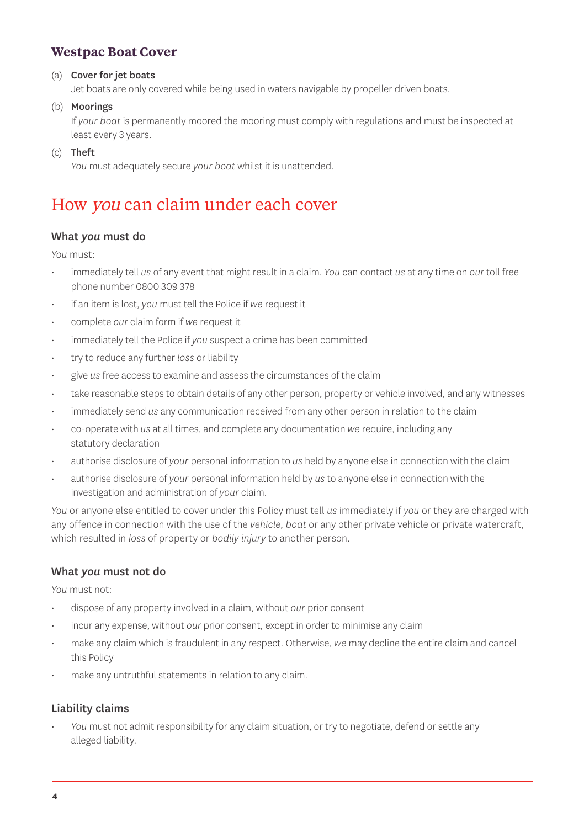#### **Westpac Boat Cover**

#### (a) Cover for jet boats

Jet boats are only covered while being used in waters navigable by propeller driven boats.

(b) Moorings

If *your boat* is permanently moored the mooring must comply with regulations and must be inspected at least every 3 years.

(c) Theft

*You* must adequately secure *your boat* whilst it is unattended.

## How you can claim under each cover

#### What *you* must do

*You* must:

- immediately tell *us* of any event that might result in a claim. *You* can contact *us* at any time on *our* toll free phone number 0800 309 378
- if an item is lost, *you* must tell the Police if *we* request it
- complete *our* claim form if *we* request it
- immediately tell the Police if *you* suspect a crime has been committed
- try to reduce any further *loss* or liability
- give *us* free access to examine and assess the circumstances of the claim
- take reasonable steps to obtain details of any other person, property or vehicle involved, and any witnesses
- immediately send *us* any communication received from any other person in relation to the claim
- co-operate with *us* at all times, and complete any documentation *we* require, including any statutory declaration
- authorise disclosure of *your* personal information to *us* held by anyone else in connection with the claim
- authorise disclosure of *your* personal information held by *us* to anyone else in connection with the investigation and administration of *your* claim.

*You* or anyone else entitled to cover under this Policy must tell *us* immediately if *you* or they are charged with any offence in connection with the use of the *vehicle*, *boat* or any other private vehicle or private watercraft, which resulted in *loss* of property or *bodily injury* to another person.

#### What *you* must not do

*You* must not:

- dispose of any property involved in a claim, without *our* prior consent
- incur any expense, without *our* prior consent, except in order to minimise any claim
- make any claim which is fraudulent in any respect. Otherwise, *we* may decline the entire claim and cancel this Policy
- make any untruthful statements in relation to any claim.

#### Liability claims

• *You* must not admit responsibility for any claim situation, or try to negotiate, defend or settle any alleged liability.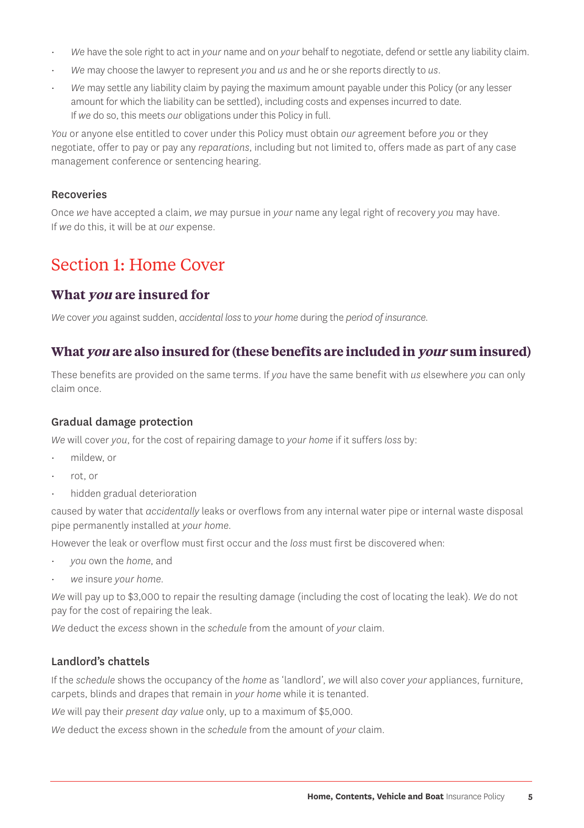- *We* have the sole right to act in *your* name and on *your* behalf to negotiate, defend or settle any liability claim.
- *We* may choose the lawyer to represent *you* and *us* and he or she reports directly to *us*.
- *We* may settle any liability claim by paying the maximum amount payable under this Policy (or any lesser amount for which the liability can be settled), including costs and expenses incurred to date. If *we* do so, this meets *our* obligations under this Policy in full.

*You* or anyone else entitled to cover under this Policy must obtain *our* agreement before *you* or they negotiate, offer to pay or pay any *reparations*, including but not limited to, offers made as part of any case management conference or sentencing hearing.

#### Recoveries

Once *we* have accepted a claim, *we* may pursue in *your* name any legal right of recovery *you* may have. If *we* do this, it will be at *our* expense.

## Section 1: Home Cover

#### **What you are insured for**

*We* cover *you* against sudden, *accidental loss* to *your home* during the *period of insurance*.

#### **What you are also insured for (these benefits are included in your sum insured)**

These benefits are provided on the same terms. If *you* have the same benefit with *us* elsewhere *you* can only claim once.

#### Gradual damage protection

*We* will cover *you*, for the cost of repairing damage to *your home* if it suffers *loss* by:

- mildew, or
- rot, or
- hidden gradual deterioration

caused by water that *accidentally* leaks or overflows from any internal water pipe or internal waste disposal pipe permanently installed at *your home*.

However the leak or overflow must first occur and the *loss* must first be discovered when:

- *you* own the *home*, and
- *we* insure *your home*.

*We* will pay up to \$3,000 to repair the resulting damage (including the cost of locating the leak). *We* do not pay for the cost of repairing the leak.

*We* deduct the *excess* shown in the *schedule* from the amount of *your* claim.

#### Landlord's chattels

If the *schedule* shows the occupancy of the *home* as 'landlord', *we* will also cover *your* appliances, furniture, carpets, blinds and drapes that remain in *your home* while it is tenanted.

*We* will pay their *present day value* only, up to a maximum of \$5,000.

*We* deduct the *excess* shown in the *schedule* from the amount of *your* claim.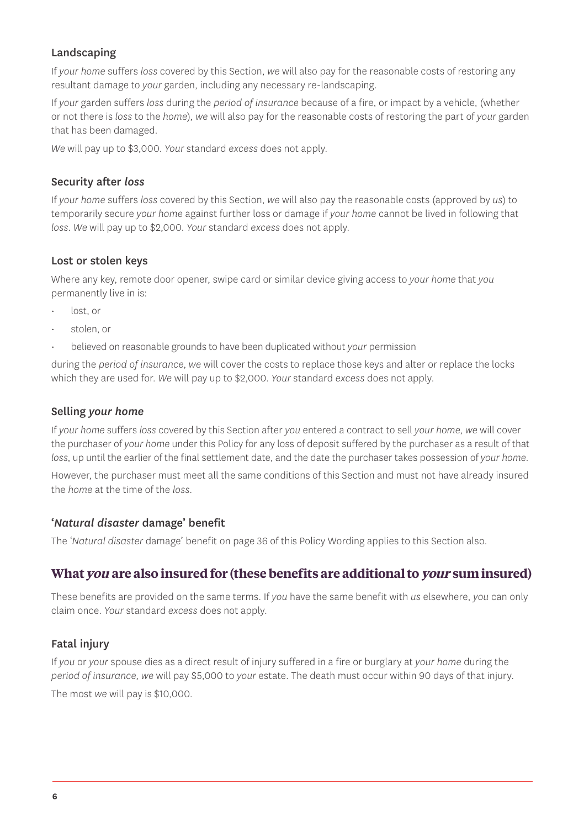#### Landscaping

If *your home* suffers *loss* covered by this Section, *we* will also pay for the reasonable costs of restoring any resultant damage to *your* garden, including any necessary re-landscaping.

If *your* garden suffers *loss* during the *period of insurance* because of a fire, or impact by a vehicle, (whether or not there is *loss* to the *home*), *we* will also pay for the reasonable costs of restoring the part of *your* garden that has been damaged.

*We* will pay up to \$3,000. *Your* standard *excess* does not apply.

#### Security after *loss*

If *your home* suffers *loss* covered by this Section, *we* will also pay the reasonable costs (approved by *us*) to temporarily secure *your home* against further loss or damage if *your home* cannot be lived in following that *loss*. *We* will pay up to \$2,000. *Your* standard *excess* does not apply.

#### Lost or stolen keys

Where any key, remote door opener, swipe card or similar device giving access to *your home* that *you* permanently live in is:

- lost, or
- stolen, or
- believed on reasonable grounds to have been duplicated without *your* permission

during the *period of insurance*, *we* will cover the costs to replace those keys and alter or replace the locks which they are used for. *We* will pay up to \$2,000. *Your* standard *excess* does not apply.

#### Selling *your home*

If *your home* suffers *loss* covered by this Section after *you* entered a contract to sell *your home*, *we* will cover the purchaser of *your home* under this Policy for any loss of deposit suffered by the purchaser as a result of that *loss*, up until the earlier of the final settlement date, and the date the purchaser takes possession of *your home*.

However, the purchaser must meet all the same conditions of this Section and must not have already insured the *home* at the time of the *loss*.

#### '*Natural disaster* damage' benefit

The '*Natural disaster* damage' benefit on page 36 of this Policy Wording applies to this Section also.

#### **What you are also insured for (these benefits are additional to your sum insured)**

These benefits are provided on the same terms. If *you* have the same benefit with *us* elsewhere, *you* can only claim once. *Your* standard *excess* does not apply.

#### **Fatal injury**

If *you* or *your* spouse dies as a direct result of injury suffered in a fire or burglary at *your home* during the *period of insurance*, *we* will pay \$5,000 to *your* estate. The death must occur within 90 days of that injury. The most *we* will pay is \$10,000.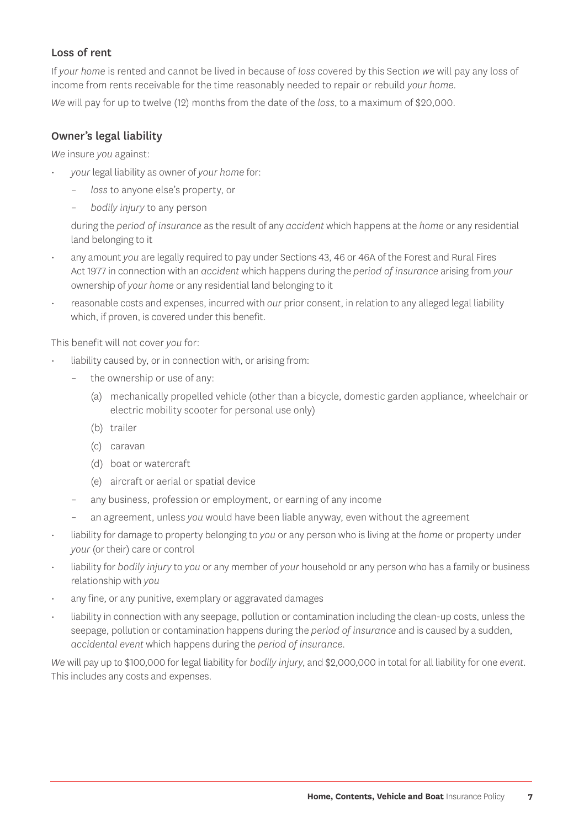#### Loss of rent

If *your home* is rented and cannot be lived in because of *loss* covered by this Section *we* will pay any loss of income from rents receivable for the time reasonably needed to repair or rebuild *your home*. *We* will pay for up to twelve (12) months from the date of the *loss*, to a maximum of \$20,000.

#### Owner's legal liability

*We* insure *you* against:

- *your* legal liability as owner of *your home* for:
	- loss to anyone else's property, or
	- *bodily injury* to any person

during the *period of insurance* as the result of any *accident* which happens at the *home* or any residential land belonging to it

- any amount *you* are legally required to pay under Sections 43, 46 or 46A of the Forest and Rural Fires Act 1977 in connection with an *accident* which happens during the *period of insurance* arising from *your* ownership of *your home* or any residential land belonging to it
- reasonable costs and expenses, incurred with *our* prior consent, in relation to any alleged legal liability which, if proven, is covered under this benefit.

This benefit will not cover *you* for:

- liability caused by, or in connection with, or arising from:
	- the ownership or use of any:
		- (a) mechanically propelled vehicle (other than a bicycle, domestic garden appliance, wheelchair or electric mobility scooter for personal use only)
		- (b) trailer
		- (c) caravan
		- (d) boat or watercraft
		- (e) aircraft or aerial or spatial device
	- any business, profession or employment, or earning of any income
	- an agreement, unless *you* would have been liable anyway, even without the agreement
- liability for damage to property belonging to *you* or any person who is living at the *home* or property under *your* (or their) care or control
- liability for *bodily injury* to *you* or any member of *your* household or any person who has a family or business relationship with *you*
- any fine, or any punitive, exemplary or aggravated damages
- liability in connection with any seepage, pollution or contamination including the clean-up costs, unless the seepage, pollution or contamination happens during the *period of insurance* and is caused by a sudden, *accidental event* which happens during the *period of insurance.*

*We* will pay up to \$100,000 for legal liability for *bodily injury*, and \$2,000,000 in total for all liability for one *event.* This includes any costs and expenses.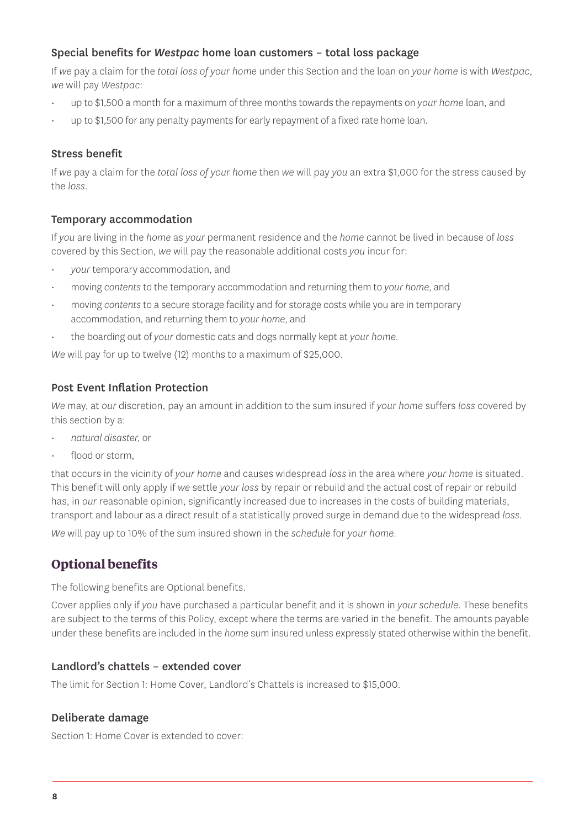#### Special benefits for *Westpac* home loan customers – total loss package

If *we* pay a claim for the *total loss of your home* under this Section and the loan on *your home* is with *Westpac*, *we* will pay *Westpac*:

- up to \$1,500 a month for a maximum of three months towards the repayments on *your home* loan, and
- up to \$1,500 for any penalty payments for early repayment of a fixed rate home loan.

#### Stress benefit

If *we* pay a claim for the *total loss of your home* then *we* will pay *you* an extra \$1,000 for the stress caused by the *loss*.

#### Temporary accommodation

If *you* are living in the *home* as *your* permanent residence and the *home* cannot be lived in because of *loss* covered by this Section, *we* will pay the reasonable additional costs *you* incur for:

- *your* temporary accommodation, and
- moving *contents* to the temporary accommodation and returning them to *your home*, and
- moving *contents* to a secure storage facility and for storage costs while you are in temporary accommodation, and returning them to *your home*, and
- the boarding out of *your* domestic cats and dogs normally kept at *your home.*

*We* will pay for up to twelve (12) months to a maximum of \$25,000.

#### Post Event Inflation Protection

*We* may, at *our* discretion, pay an amount in addition to the sum insured if *your home* suffers *loss* covered by this section by a:

- *natural disaster,* or
- flood or storm

that occurs in the vicinity of *your home* and causes widespread *loss* in the area where *your home* is situated. This benefit will only apply if *we* settle *your loss* by repair or rebuild and the actual cost of repair or rebuild has, in *our* reasonable opinion, significantly increased due to increases in the costs of building materials, transport and labour as a direct result of a statistically proved surge in demand due to the widespread *loss*.

*We* will pay up to 10% of the sum insured shown in the *schedule* for *your home*.

#### **Optional benefits**

The following benefits are Optional benefits.

Cover applies only if *you* have purchased a particular benefit and it is shown in *your schedule*. These benefits are subject to the terms of this Policy, except where the terms are varied in the benefit. The amounts payable under these benefits are included in the *home* sum insured unless expressly stated otherwise within the benefit.

#### Landlord's chattels – extended cover

The limit for Section 1: Home Cover, Landlord's Chattels is increased to \$15,000.

#### Deliberate damage

Section 1: Home Cover is extended to cover: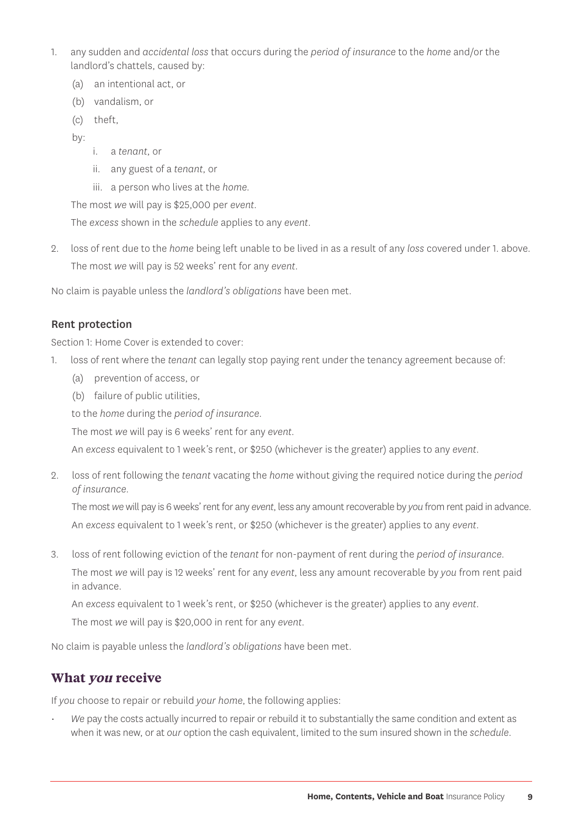- 1. any sudden and *accidental loss* that occurs during the *period of insurance* to the *home* and/or the landlord's chattels, caused by:
	- (a) an intentional act, or
	- (b) vandalism, or
	- (c) theft,
	- by:
- i. a *tenant*, or
- ii. any guest of a *tenant*, or
- iii. a person who lives at the *home.*

The most *we* will pay is \$25,000 per *event*.

The *excess* shown in the *schedule* applies to any *event*.

2. loss of rent due to the *home* being left unable to be lived in as a result of any *loss* covered under 1. above. The most *we* will pay is 52 weeks' rent for any *event*.

No claim is payable unless the *landlord's obligations* have been met.

#### Rent protection

Section 1: Home Cover is extended to cover:

- 1. loss of rent where the *tenant* can legally stop paying rent under the tenancy agreement because of:
	- (a) prevention of access, or
	- (b) failure of public utilities,

to the *home* during the *period of insurance*.

The most *we* will pay is 6 weeks' rent for any *event*.

An *excess* equivalent to 1 week's rent, or \$250 (whichever is the greater) applies to any *event*.

2. loss of rent following the *tenant* vacating the *home* without giving the required notice during the *period of insurance*.

The most *we* will pay is 6 weeks' rent for any *event*, less any amount recoverable by *you* from rent paid in advance. An *excess* equivalent to 1 week's rent, or \$250 (whichever is the greater) applies to any *event*.

3. loss of rent following eviction of the *tenant* for non-payment of rent during the *period of insurance*. The most *we* will pay is 12 weeks' rent for any *event*, less any amount recoverable by *you* from rent paid in advance.

An *excess* equivalent to 1 week's rent, or \$250 (whichever is the greater) applies to any *event*.

The most *we* will pay is \$20,000 in rent for any *event*.

No claim is payable unless the *landlord's obligations* have been met.

#### **What you receive**

If *you* choose to repair or rebuild *your home*, the following applies:

• *We* pay the costs actually incurred to repair or rebuild it to substantially the same condition and extent as when it was new, or at *our* option the cash equivalent, limited to the sum insured shown in the *schedule*.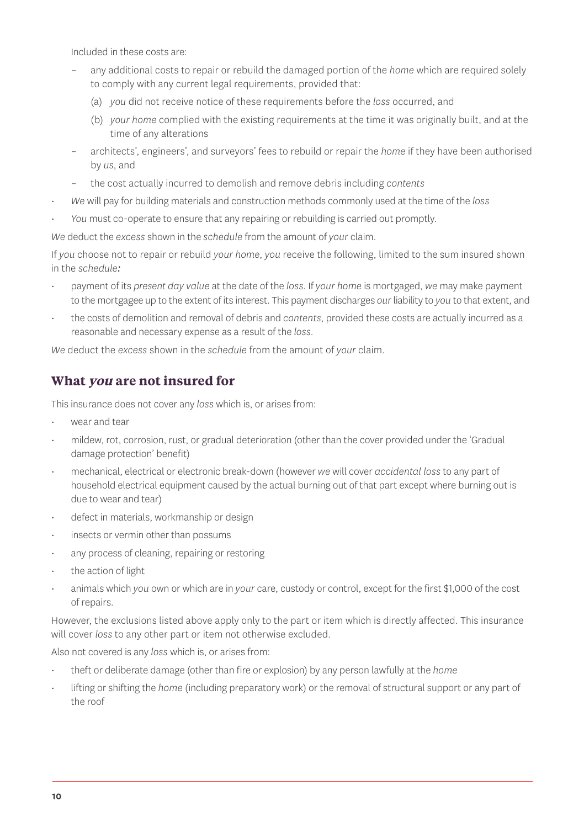Included in these costs are:

- any additional costs to repair or rebuild the damaged portion of the *home* which are required solely to comply with any current legal requirements, provided that:
	- (a) *you* did not receive notice of these requirements before the *loss* occurred, and
	- (b) *your home* complied with the existing requirements at the time it was originally built, and at the time of any alterations
- architects', engineers', and surveyors' fees to rebuild or repair the *home* if they have been authorised by *us*, and
- the cost actually incurred to demolish and remove debris including *contents*
- *We* will pay for building materials and construction methods commonly used at the time of the *loss*
- *You* must co-operate to ensure that any repairing or rebuilding is carried out promptly.

*We* deduct the *excess* shown in the *schedule* from the amount of *your* claim.

If *you* choose not to repair or rebuild *your home*, *you* receive the following, limited to the sum insured shown in the *schedule:*

- payment of its *present day value* at the date of the *loss*. If *your home* is mortgaged, *we* may make payment to the mortgagee up to the extent of its interest. This payment discharges *our* liability to *you* to that extent, and
- the costs of demolition and removal of debris and *contents*, provided these costs are actually incurred as a reasonable and necessary expense as a result of the *loss.*

*We* deduct the *excess* shown in the *schedule* from the amount of *your* claim.

#### **What you are not insured for**

This insurance does not cover any *loss* which is, or arises from:

- wear and tear
- mildew, rot, corrosion, rust, or gradual deterioration (other than the cover provided under the 'Gradual damage protection' benefit)
- mechanical, electrical or electronic break-down (however *we* will cover *accidental loss* to any part of household electrical equipment caused by the actual burning out of that part except where burning out is due to wear and tear)
- defect in materials, workmanship or design
- insects or vermin other than possums
- any process of cleaning, repairing or restoring
- the action of light
- animals which *you* own or which are in *your* care, custody or control, except for the first \$1,000 of the cost of repairs.

However, the exclusions listed above apply only to the part or item which is directly affected. This insurance will cover *loss* to any other part or item not otherwise excluded.

Also not covered is any *loss* which is, or arises from:

- theft or deliberate damage (other than fire or explosion) by any person lawfully at the *home*
- lifting or shifting the *home* (including preparatory work) or the removal of structural support or any part of the roof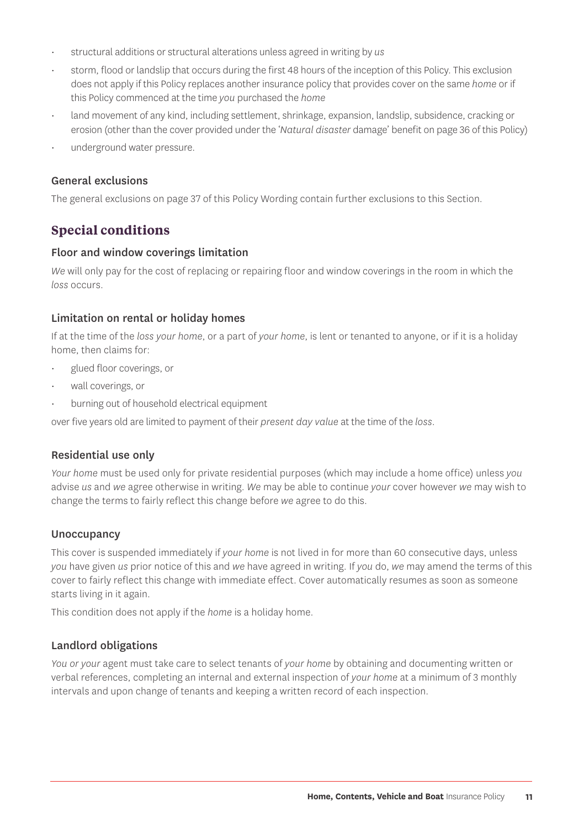- structural additions or structural alterations unless agreed in writing by *us*
- storm, flood or landslip that occurs during the first 48 hours of the inception of this Policy. This exclusion does not apply if this Policy replaces another insurance policy that provides cover on the same *home* or if this Policy commenced at the time *you* purchased the *home*
- land movement of any kind, including settlement, shrinkage, expansion, landslip, subsidence, cracking or erosion (other than the cover provided under the '*Natural disaster* damage' benefit on page 36 of this Policy)
- underground water pressure.

#### General exclusions

The general exclusions on page 37 of this Policy Wording contain further exclusions to this Section.

#### **Special conditions**

#### Floor and window coverings limitation

*We* will only pay for the cost of replacing or repairing floor and window coverings in the room in which the *loss* occurs.

#### Limitation on rental or holiday homes

If at the time of the *loss your home*, or a part of *your home*, is lent or tenanted to anyone, or if it is a holiday home, then claims for:

- glued floor coverings, or
- wall coverings, or
- burning out of household electrical equipment

over five years old are limited to payment of their *present day value* at the time of the *loss*.

#### Residential use only

*Your home* must be used only for private residential purposes (which may include a home office) unless *you* advise *us* and *we* agree otherwise in writing. *We* may be able to continue *your* cover however *we* may wish to change the terms to fairly reflect this change before *we* agree to do this.

#### **Unoccupancy**

This cover is suspended immediately if *your home* is not lived in for more than 60 consecutive days, unless *you* have given *us* prior notice of this and *we* have agreed in writing. If *you* do, *we* may amend the terms of this cover to fairly reflect this change with immediate effect. Cover automatically resumes as soon as someone starts living in it again.

This condition does not apply if the *home* is a holiday home.

#### Landlord obligations

*You or your* agent must take care to select tenants of *your home* by obtaining and documenting written or verbal references, completing an internal and external inspection of *your home* at a minimum of 3 monthly intervals and upon change of tenants and keeping a written record of each inspection.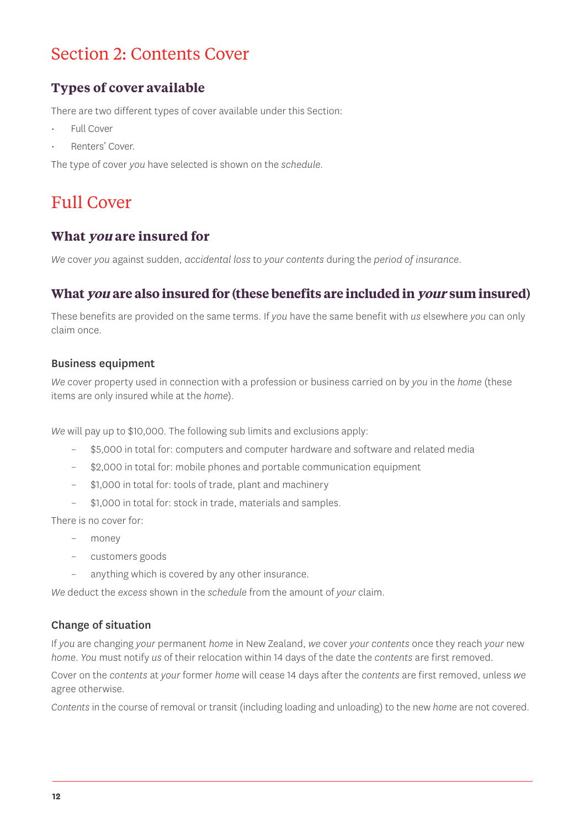## Section 2: Contents Cover

#### **Types of cover available**

There are two different types of cover available under this Section:

- Full Cover
- Renters' Cover.

The type of cover *you* have selected is shown on the *schedule*.

## Full Cover

#### **What you are insured for**

*We* cover *you* against sudden, *accidental loss* to *your contents* during the *period of insurance*.

#### **What you are also insured for (these benefits are included in your sum insured)**

These benefits are provided on the same terms. If *you* have the same benefit with *us* elsewhere *you* can only claim once.

#### Business equipment

*We* cover property used in connection with a profession or business carried on by *you* in the *home* (these items are only insured while at the *home*).

*We* will pay up to \$10,000. The following sub limits and exclusions apply:

- \$5,000 in total for: computers and computer hardware and software and related media
- \$2,000 in total for: mobile phones and portable communication equipment
- \$1,000 in total for: tools of trade, plant and machinery
- \$1,000 in total for: stock in trade, materials and samples.

There is no cover for:

- money
- customers goods
- anything which is covered by any other insurance.

*We* deduct the *excess* shown in the *schedule* from the amount of *your* claim.

#### Change of situation

If *you* are changing *your* permanent *home* in New Zealand, *we* cover *your contents* once they reach *your* new *home*. *You* must notify *us* of their relocation within 14 days of the date the *contents* are first removed.

Cover on the *contents* at *your* former *home* will cease 14 days after the *contents* are first removed, unless *we* agree otherwise.

*Contents* in the course of removal or transit (including loading and unloading) to the new *home* are not covered.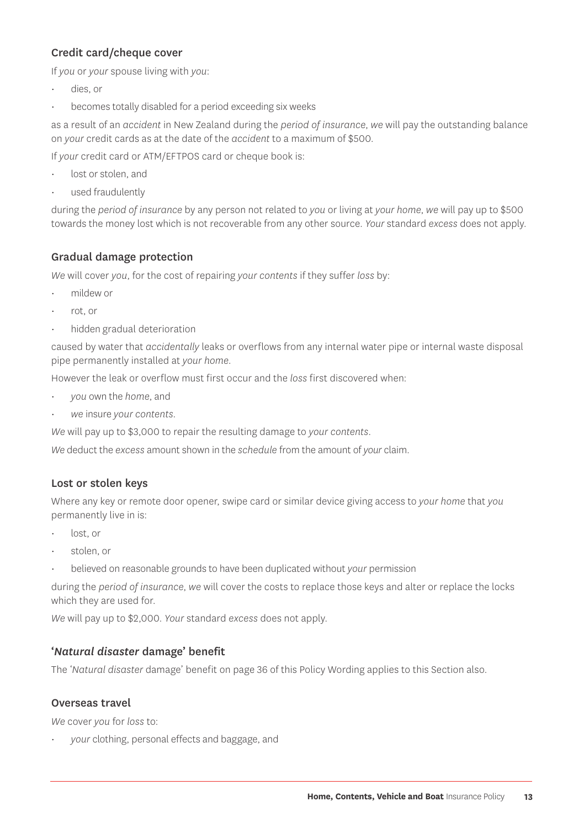#### Credit card/cheque cover

If *you* or *your* spouse living with *you*:

- dies, or
- becomes totally disabled for a period exceeding six weeks

as a result of an *accident* in New Zealand during the *period of insurance*, *we* will pay the outstanding balance on *your* credit cards as at the date of the *accident* to a maximum of \$500.

If *your* credit card or ATM/EFTPOS card or cheque book is:

- lost or stolen, and
- used fraudulently

during the *period of insurance* by any person not related to *you* or living at *your home*, *we* will pay up to \$500 towards the money lost which is not recoverable from any other source. *Your* standard *excess* does not apply.

#### Gradual damage protection

*We* will cover *you*, for the cost of repairing *your contents* if they suffer *loss* by:

- mildew or
- rot, or
- hidden gradual deterioration

caused by water that *accidentally* leaks or overflows from any internal water pipe or internal waste disposal pipe permanently installed at *your home*.

However the leak or overflow must first occur and the *loss* first discovered when:

- *you* own the *home*, and
- *we* insure *your contents.*

*We* will pay up to \$3,000 to repair the resulting damage to *your contents*.

*We* deduct the *excess* amount shown in the *schedule* from the amount of *your* claim.

#### Lost or stolen keys

Where any key or remote door opener, swipe card or similar device giving access to *your home* that *you* permanently live in is:

- lost, or
- stolen, or
- believed on reasonable grounds to have been duplicated without *your* permission

during the *period of insurance*, *we* will cover the costs to replace those keys and alter or replace the locks which they are used for.

*We* will pay up to \$2,000. *Your* standard *excess* does not apply.

#### '*Natural disaster* damage' benefit

The '*Natural disaster* damage' benefit on page 36 of this Policy Wording applies to this Section also.

#### Overseas travel

*We* cover *you* for *loss* to:

• *your* clothing, personal effects and baggage, and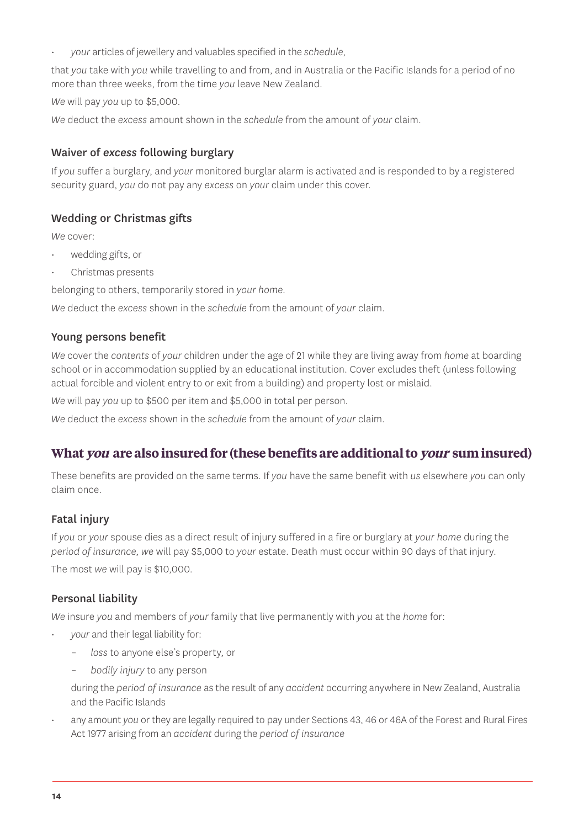• *your* articles of jewellery and valuables specified in the *schedule*,

that *you* take with *you* while travelling to and from, and in Australia or the Pacific Islands for a period of no more than three weeks, from the time *you* leave New Zealand.

*We* will pay *you* up to \$5,000.

*We* deduct the *excess* amount shown in the *schedule* from the amount of *your* claim.

#### Waiver of *excess* following burglary

If *you* suffer a burglary, and *your* monitored burglar alarm is activated and is responded to by a registered security guard, *you* do not pay any *excess* on *your* claim under this cover.

#### Wedding or Christmas gifts

*We* cover:

- wedding gifts, or
- Christmas presents

belonging to others, temporarily stored in *your home*.

*We* deduct the *excess* shown in the *schedule* from the amount of *your* claim.

#### Young persons benefit

*We* cover the *contents* of *your* children under the age of 21 while they are living away from *home* at boarding school or in accommodation supplied by an educational institution. Cover excludes theft (unless following actual forcible and violent entry to or exit from a building) and property lost or mislaid.

*We* will pay *you* up to \$500 per item and \$5,000 in total per person.

*We* deduct the *excess* shown in the *schedule* from the amount of *your* claim.

#### **What you are also insured for (these benefits are additional to your sum insured)**

These benefits are provided on the same terms. If *you* have the same benefit with *us* elsewhere *you* can only claim once.

#### **Fatal injury**

If *you* or *your* spouse dies as a direct result of injury suffered in a fire or burglary at *your home* during the *period of insurance*, *we* will pay \$5,000 to *your* estate. Death must occur within 90 days of that injury. The most *we* will pay is \$10,000.

#### Personal liability

*We* insure *you* and members of *your* family that live permanently with *you* at the *home* for:

- *your* and their legal liability for:
	- *loss* to anyone else's property, or
	- *bodily injury* to any person

during the *period of insurance* as the result of any *accident* occurring anywhere in New Zealand, Australia and the Pacific Islands

• any amount *you* or they are legally required to pay under Sections 43, 46 or 46A of the Forest and Rural Fires Act 1977 arising from an *accident* during the *period of insurance*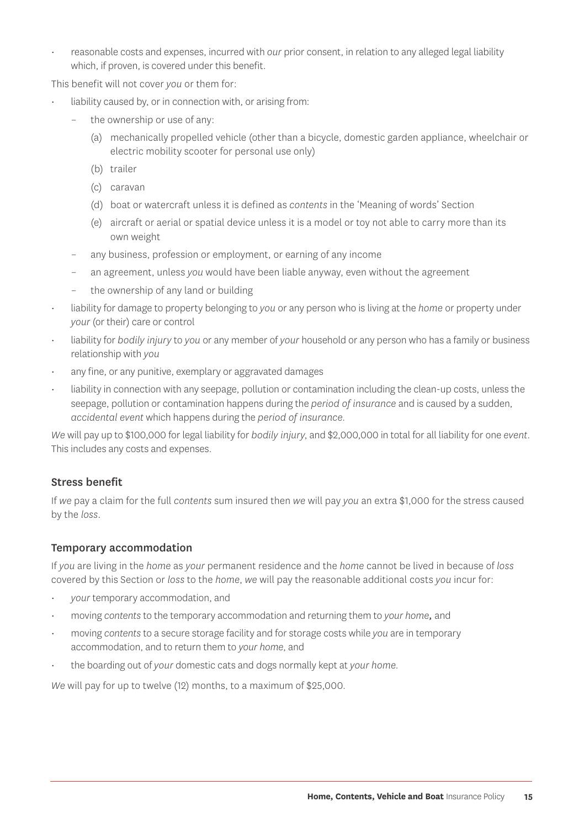• reasonable costs and expenses, incurred with *our* prior consent, in relation to any alleged legal liability which, if proven, is covered under this benefit.

This benefit will not cover *you* or them for:

- liability caused by, or in connection with, or arising from:
	- the ownership or use of any:
		- (a) mechanically propelled vehicle (other than a bicycle, domestic garden appliance, wheelchair or electric mobility scooter for personal use only)
		- (b) trailer
		- (c) caravan
		- (d) boat or watercraft unless it is defined as *contents* in the 'Meaning of words' Section
		- (e) aircraft or aerial or spatial device unless it is a model or toy not able to carry more than its own weight
	- any business, profession or employment, or earning of any income
	- an agreement, unless *you* would have been liable anyway, even without the agreement
	- the ownership of any land or building
- liability for damage to property belonging to *you* or any person who is living at the *home* or property under *your* (or their) care or control
- liability for *bodily injury* to *you* or any member of *your* household or any person who has a family or business relationship with *you*
- any fine, or any punitive, exemplary or aggravated damages
- liability in connection with any seepage, pollution or contamination including the clean-up costs, unless the seepage, pollution or contamination happens during the *period of insurance* and is caused by a sudden, *accidental event* which happens during the *period of insurance.*

*We* will pay up to \$100,000 for legal liability for *bodily injury*, and \$2,000,000 in total for all liability for one *event*. This includes any costs and expenses.

#### Stress benefit

If *we* pay a claim for the full *contents* sum insured then *we* will pay *you* an extra \$1,000 for the stress caused by the *loss*.

#### Temporary accommodation

If *you* are living in the *home* as *your* permanent residence and the *home* cannot be lived in because of *loss* covered by this Section or *loss* to the *home*, *we* will pay the reasonable additional costs *you* incur for:

- *your* temporary accommodation, and
- moving *contents* to the temporary accommodation and returning them to *your home,* and
- moving *contents* to a secure storage facility and for storage costs while *you* are in temporary accommodation, and to return them to *your home*, and
- the boarding out of *your* domestic cats and dogs normally kept at *your home.*

*We* will pay for up to twelve (12) months, to a maximum of \$25,000.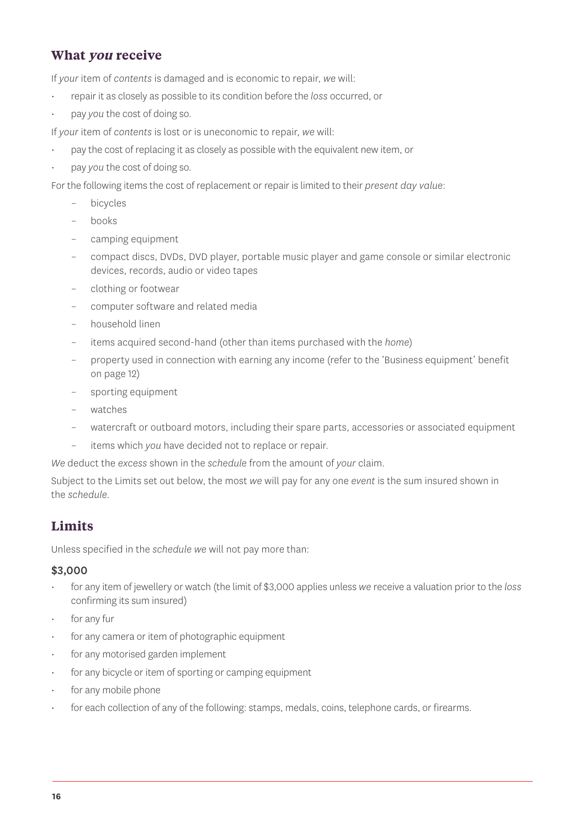#### **What you receive**

If *your* item of *contents* is damaged and is economic to repair, *we* will:

- repair it as closely as possible to its condition before the *loss* occurred, or
- pay *you* the cost of doing so.

If *your* item of *contents* is lost or is uneconomic to repair, *we* will:

- pay the cost of replacing it as closely as possible with the equivalent new item, or
- pay *you* the cost of doing so.

For the following items the cost of replacement or repair is limited to their *present day value*:

- bicycles
- books
- camping equipment
- compact discs, DVDs, DVD player, portable music player and game console or similar electronic devices, records, audio or video tapes
- clothing or footwear
- computer software and related media
- household linen
- items acquired second-hand (other than items purchased with the *home*)
- property used in connection with earning any income (refer to the 'Business equipment' benefit on page 12)
- sporting equipment
- watches
- watercraft or outboard motors, including their spare parts, accessories or associated equipment
- items which *you* have decided not to replace or repair.

*We* deduct the *excess* shown in the *schedule* from the amount of *your* claim.

Subject to the Limits set out below, the most *we* will pay for any one *event* is the sum insured shown in the *schedule*.

#### **Limits**

Unless specified in the *schedule we* will not pay more than:

#### \$3,000

- for any item of jewellery or watch (the limit of \$3,000 applies unless *we* receive a valuation prior to the *loss* confirming its sum insured)
- for any fur
- for any camera or item of photographic equipment
- for any motorised garden implement
- for any bicycle or item of sporting or camping equipment
- for any mobile phone
- for each collection of any of the following: stamps, medals, coins, telephone cards, or firearms.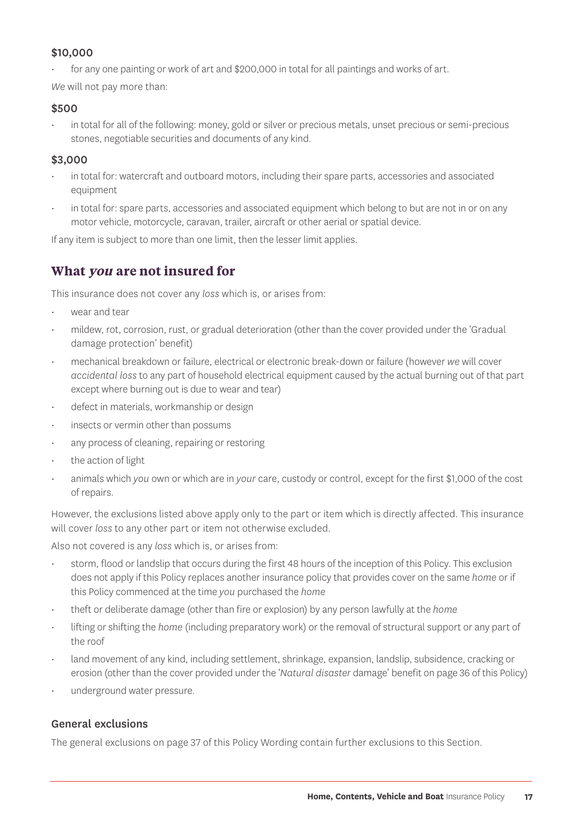#### \$10,000

• for any one painting or work of art and \$200,000 in total for all paintings and works of art.

*We* will not pay more than:

#### \$500

• in total for all of the following: money, gold or silver or precious metals, unset precious or semi-precious stones, negotiable securities and documents of any kind.

#### \$3,000

- in total for: watercraft and outboard motors, including their spare parts, accessories and associated equipment
- in total for: spare parts, accessories and associated equipment which belong to but are not in or on any motor vehicle, motorcycle, caravan, trailer, aircraft or other aerial or spatial device.

If any item is subject to more than one limit, then the lesser limit applies.

#### **What you are not insured for**

This insurance does not cover any *loss* which is, or arises from:

- wear and tear
- mildew, rot, corrosion, rust, or gradual deterioration (other than the cover provided under the 'Gradual damage protection' benefit)
- mechanical breakdown or failure, electrical or electronic break-down or failure (however *we* will cover *accidental loss* to any part of household electrical equipment caused by the actual burning out of that part except where burning out is due to wear and tear)
- defect in materials, workmanship or design
- insects or vermin other than possums
- any process of cleaning, repairing or restoring
- the action of light
- animals which *you* own or which are in *your* care, custody or control, except for the first \$1,000 of the cost of repairs.

However, the exclusions listed above apply only to the part or item which is directly affected. This insurance will cover *loss* to any other part or item not otherwise excluded.

Also not covered is any *loss* which is, or arises from:

- storm, flood or landslip that occurs during the first 48 hours of the inception of this Policy. This exclusion does not apply if this Policy replaces another insurance policy that provides cover on the same *home* or if this Policy commenced at the time *you* purchased the *home*
- theft or deliberate damage (other than fire or explosion) by any person lawfully at the *home*
- lifting or shifting the *home* (including preparatory work) or the removal of structural support or any part of the roof
- land movement of any kind, including settlement, shrinkage, expansion, landslip, subsidence, cracking or erosion (other than the cover provided under the '*Natural disaster* damage' benefit on page 36 of this Policy)
- underground water pressure.

#### General exclusions

The general exclusions on page 37 of this Policy Wording contain further exclusions to this Section.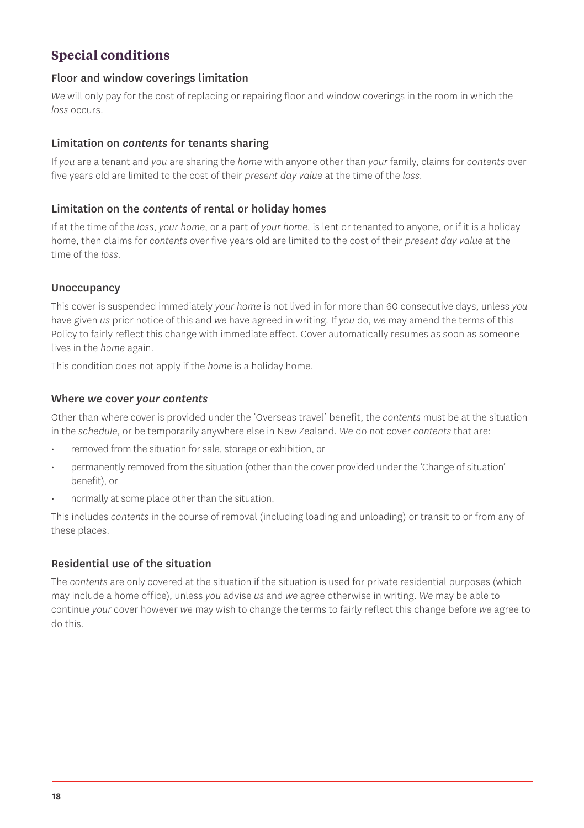#### **Special conditions**

#### Floor and window coverings limitation

*We* will only pay for the cost of replacing or repairing floor and window coverings in the room in which the *loss* occurs.

#### Limitation on *contents* for tenants sharing

If *you* are a tenant and *you* are sharing the *home* with anyone other than *your* family, claims for *contents* over five years old are limited to the cost of their *present day value* at the time of the *loss*.

#### Limitation on the *contents* of rental or holiday homes

If at the time of the *loss*, *your home*, or a part of *your home*, is lent or tenanted to anyone, or if it is a holiday home, then claims for *contents* over five years old are limited to the cost of their *present day value* at the time of the *loss*.

#### **Unoccupancy**

This cover is suspended immediately *your home* is not lived in for more than 60 consecutive days, unless *you* have given *us* prior notice of this and *we* have agreed in writing. If *you* do, *we* may amend the terms of this Policy to fairly reflect this change with immediate effect. Cover automatically resumes as soon as someone lives in the *home* again.

This condition does not apply if the *home* is a holiday home.

#### Where *we* cover *your contents*

Other than where cover is provided under the 'Overseas travel' benefit, the *contents* must be at the situation in the *schedule*, or be temporarily anywhere else in New Zealand. *We* do not cover *contents* that are:

- removed from the situation for sale, storage or exhibition, or
- permanently removed from the situation (other than the cover provided under the 'Change of situation' benefit), or
- normally at some place other than the situation.

This includes *contents* in the course of removal (including loading and unloading) or transit to or from any of these places.

#### Residential use of the situation

The *contents* are only covered at the situation if the situation is used for private residential purposes (which may include a home office), unless *you* advise *us* and *we* agree otherwise in writing. *We* may be able to continue *your* cover however *we* may wish to change the terms to fairly reflect this change before *we* agree to do this.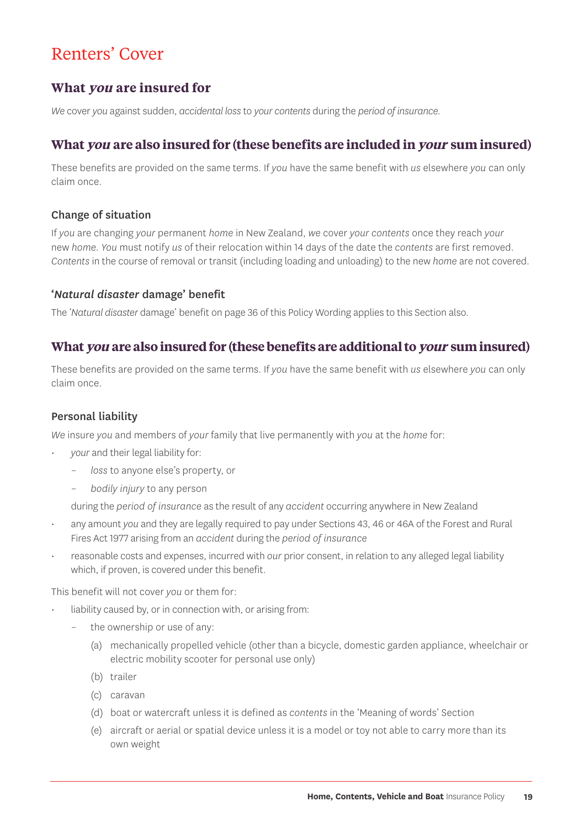## Renters' Cover

#### **What you are insured for**

*We* cover *you* against sudden, *accidental loss* to *your contents* during the *period of insurance*.

#### **What you are also insured for (these benefits are included in your sum insured)**

These benefits are provided on the same terms. If *you* have the same benefit with *us* elsewhere *you* can only claim once.

#### Change of situation

If *you* are changing *your* permanent *home* in New Zealand, *we* cover *your contents* once they reach *your* new *home*. *You* must notify *us* of their relocation within 14 days of the date the *contents* are first removed. *Contents* in the course of removal or transit (including loading and unloading) to the new *home* are not covered.

#### '*Natural disaster* damage' benefit

The '*Natural disaster* damage' benefit on page 36 of this Policy Wording applies to this Section also.

#### **What you are also insured for (these benefits are additional to your sum insured)**

These benefits are provided on the same terms. If *you* have the same benefit with *us* elsewhere *you* can only claim once.

#### Personal liability

*We* insure *you* and members of *your* family that live permanently with *you* at the *home* for:

- *your* and their legal liability for:
	- *loss* to anyone else's property, or
	- *bodily injury* to any person

during the *period of insurance* as the result of any *accident* occurring anywhere in New Zealand

- any amount *you* and they are legally required to pay under Sections 43, 46 or 46A of the Forest and Rural Fires Act 1977 arising from an *accident* during the *period of insurance*
- reasonable costs and expenses, incurred with *our* prior consent, in relation to any alleged legal liability which, if proven, is covered under this benefit.

This benefit will not cover *you* or them for:

- liability caused by, or in connection with, or arising from:
	- the ownership or use of any:
		- (a) mechanically propelled vehicle (other than a bicycle, domestic garden appliance, wheelchair or electric mobility scooter for personal use only)
		- (b) trailer
		- (c) caravan
		- (d) boat or watercraft unless it is defined as *contents* in the 'Meaning of words' Section
		- (e) aircraft or aerial or spatial device unless it is a model or toy not able to carry more than its own weight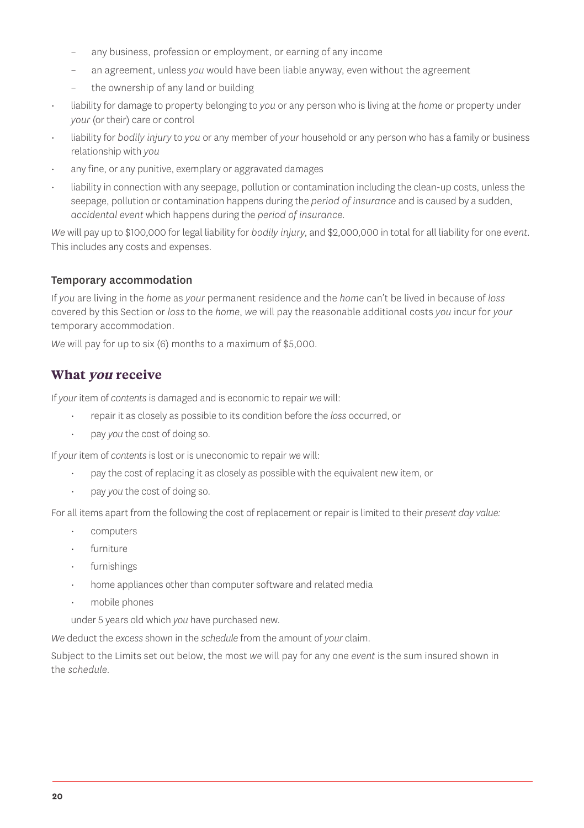- any business, profession or employment, or earning of any income
- an agreement, unless *you* would have been liable anyway, even without the agreement
- the ownership of any land or building
- liability for damage to property belonging to *you* or any person who is living at the *home* or property under *your* (or their) care or control
- liability for *bodily injury* to *you* or any member of *your* household or any person who has a family or business relationship with *you*
- any fine, or any punitive, exemplary or aggravated damages
- liability in connection with any seepage, pollution or contamination including the clean-up costs, unless the seepage, pollution or contamination happens during the *period of insurance* and is caused by a sudden, *accidental event* which happens during the *period of insurance.*

*We* will pay up to \$100,000 for legal liability for *bodily injury*, and \$2,000,000 in total for all liability for one *event.*  This includes any costs and expenses.

#### Temporary accommodation

If *you* are living in the *home* as *your* permanent residence and the *home* can't be lived in because of *loss* covered by this Section or *loss* to the *home*, *we* will pay the reasonable additional costs *you* incur for *your* temporary accommodation.

*We* will pay for up to six (6) months to a maximum of \$5,000.

#### **What you receive**

If *your* item of *contents* is damaged and is economic to repair *we* will:

- repair it as closely as possible to its condition before the *loss* occurred, or
- pay *you* the cost of doing so.

If *your* item of *contents* is lost or is uneconomic to repair *we* will:

- pay the cost of replacing it as closely as possible with the equivalent new item, or
- pay *you* the cost of doing so.

For all items apart from the following the cost of replacement or repair is limited to their *present day value:*

- computers
- furniture
- furnishings
- home appliances other than computer software and related media
- mobile phones
- under 5 years old which *you* have purchased new.

*We* deduct the *excess* shown in the *schedule* from the amount of *your* claim.

Subject to the Limits set out below, the most *we* will pay for any one *event* is the sum insured shown in the *schedule*.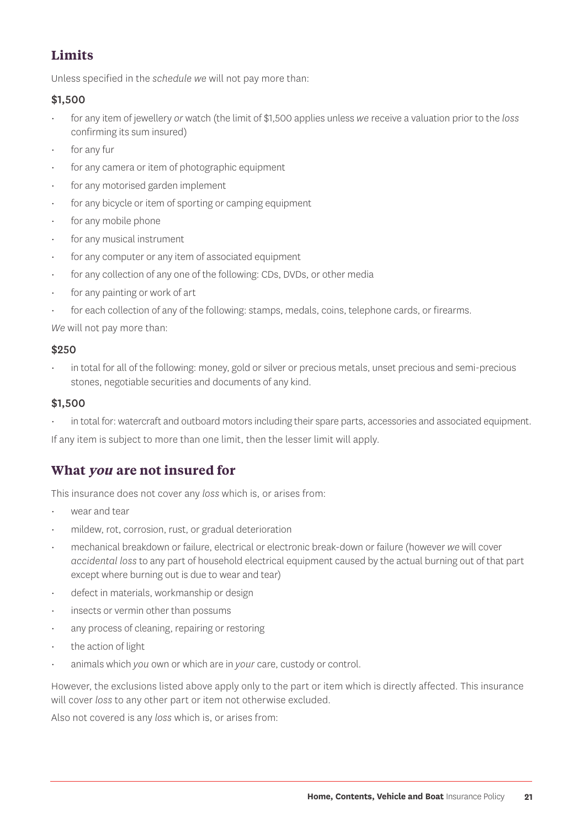### **Limits**

Unless specified in the *schedule we* will not pay more than:

#### \$1,500

- for any item of jewellery *or* watch (the limit of \$1,500 applies unless *we* receive a valuation prior to the *loss* confirming its sum insured)
- for any fur
- for any camera or item of photographic equipment
- for any motorised garden implement
- for any bicycle or item of sporting or camping equipment
- for any mobile phone
- for any musical instrument
- for any computer or any item of associated equipment
- for any collection of any one of the following: CDs, DVDs, or other media
- for any painting or work of art
- for each collection of any of the following: stamps, medals, coins, telephone cards, or firearms.

*We* will not pay more than:

#### \$250

in total for all of the following: money, gold or silver or precious metals, unset precious and semi-precious stones, negotiable securities and documents of any kind.

#### \$1,500

• in total for: watercraft and outboard motors including their spare parts, accessories and associated equipment.

If any item is subject to more than one limit, then the lesser limit will apply.

#### **What you are not insured for**

This insurance does not cover any *loss* which is, or arises from:

- wear and tear
- mildew, rot, corrosion, rust, or gradual deterioration
- mechanical breakdown or failure, electrical or electronic break-down or failure (however *we* will cover *accidental loss* to any part of household electrical equipment caused by the actual burning out of that part except where burning out is due to wear and tear)
- defect in materials, workmanship or design
- insects or vermin other than possums
- any process of cleaning, repairing or restoring
- the action of light
- animals which *you* own or which are in *your* care, custody or control.

However, the exclusions listed above apply only to the part or item which is directly affected. This insurance will cover *loss* to any other part or item not otherwise excluded.

Also not covered is any *loss* which is, or arises from: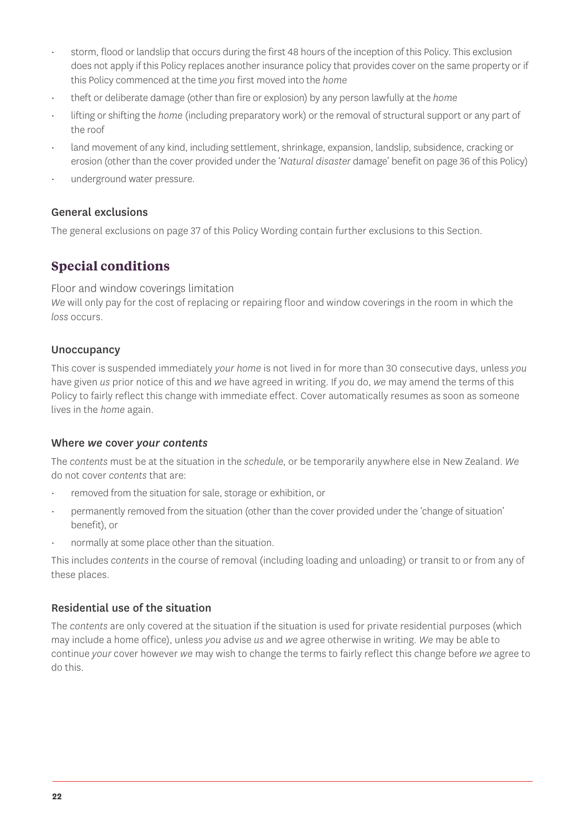- storm, flood or landslip that occurs during the first 48 hours of the inception of this Policy. This exclusion does not apply if this Policy replaces another insurance policy that provides cover on the same property or if this Policy commenced at the time *you* first moved into the *home*
- theft or deliberate damage (other than fire or explosion) by any person lawfully at the *home*
- lifting or shifting the *home* (including preparatory work) or the removal of structural support or any part of the roof
- land movement of any kind, including settlement, shrinkage, expansion, landslip, subsidence, cracking or erosion (other than the cover provided under the '*Natural disaster* damage' benefit on page 36 of this Policy)
- underground water pressure.

#### General exclusions

The general exclusions on page 37 of this Policy Wording contain further exclusions to this Section.

#### **Special conditions**

Floor and window coverings limitation

*We* will only pay for the cost of replacing or repairing floor and window coverings in the room in which the *loss* occurs.

#### **Unoccupancy**

This cover is suspended immediately *your home* is not lived in for more than 30 consecutive days, unless *you* have given *us* prior notice of this and *we* have agreed in writing. If *you* do, *we* may amend the terms of this Policy to fairly reflect this change with immediate effect. Cover automatically resumes as soon as someone lives in the *home* again.

#### Where *we* cover *your contents*

The *contents* must be at the situation in the *schedule*, or be temporarily anywhere else in New Zealand. *We* do not cover *contents* that are:

- removed from the situation for sale, storage or exhibition, or
- permanently removed from the situation (other than the cover provided under the 'change of situation' benefit), or
- normally at some place other than the situation.

This includes *contents* in the course of removal (including loading and unloading) or transit to or from any of these places.

#### Residential use of the situation

The *contents* are only covered at the situation if the situation is used for private residential purposes (which may include a home office), unless *you* advise *us* and *we* agree otherwise in writing. *We* may be able to continue *your* cover however *we* may wish to change the terms to fairly reflect this change before *we* agree to do this.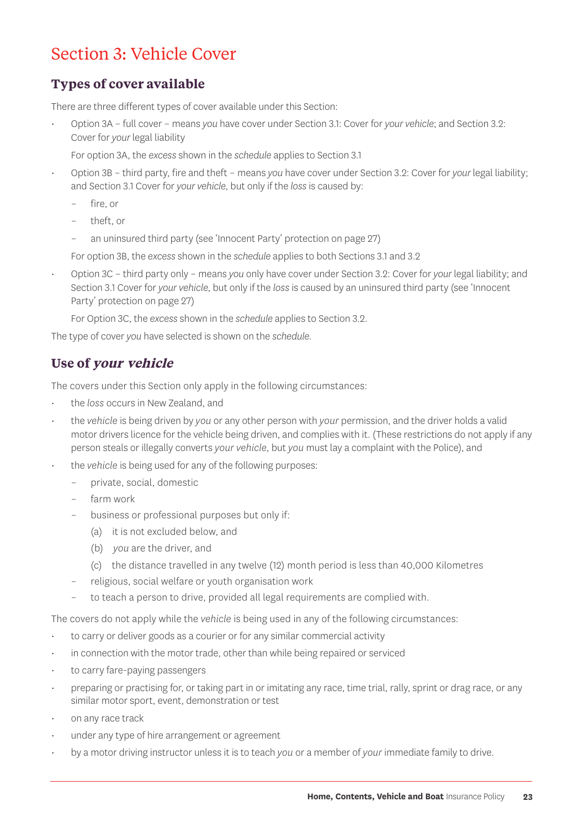## Section 3: Vehicle Cover

#### **Types of cover available**

There are three different types of cover available under this Section:

• Option 3A – full cover – means *you* have cover under Section 3.1: Cover for *your vehicle*; and Section 3.2: Cover for *your* legal liability

For option 3A, the *excess* shown in the *schedule* applies to Section 3.1

- Option 3B third party, fire and theft means *you* have cover under Section 3.2: Cover for *your* legal liability; and Section 3.1 Cover for *your vehicle*, but only if the *loss* is caused by:
	- fire, or
	- theft, or
	- an uninsured third party (see 'Innocent Party' protection on page 27)

For option 3B, the *excess* shown in the *schedule* applies to both Sections 3.1 and 3.2

• Option 3C – third party only – means *you* only have cover under Section 3.2: Cover for *your* legal liability; and Section 3.1 Cover for *your vehicle*, but only if the *loss* is caused by an uninsured third party (see 'Innocent Party' protection on page 27)

For Option 3C, the *excess* shown in the *schedule* applies to Section 3.2.

The type of cover *you* have selected is shown on the *schedule*.

#### **Use of your vehicle**

The covers under this Section only apply in the following circumstances:

- the *loss* occurs in New Zealand, and
- the *vehicle* is being driven by *you* or any other person with *your* permission, and the driver holds a valid motor drivers licence for the vehicle being driven, and complies with it. (These restrictions do not apply if any person steals or illegally converts *your vehicle*, but *you* must lay a complaint with the Police), and
- the *vehicle* is being used for any of the following purposes:
	- private, social, domestic
	- farm work
	- business or professional purposes but only if:
	- (a) it is not excluded below, and
		- (b) *you* are the driver, and
		- (c) the distance travelled in any twelve (12) month period is less than 40,000 Kilometres
	- religious, social welfare or youth organisation work
	- to teach a person to drive, provided all legal requirements are complied with.

The covers do not apply while the *vehicle* is being used in any of the following circumstances:

- to carry or deliver goods as a courier or for any similar commercial activity
- in connection with the motor trade, other than while being repaired or serviced
- to carry fare-paying passengers
- preparing or practising for, or taking part in or imitating any race, time trial, rally, sprint or drag race, or any similar motor sport, event, demonstration or test
- on any race track
- under any type of hire arrangement or agreement
- by a motor driving instructor unless it is to teach *you* or a member of *your* immediate family to drive.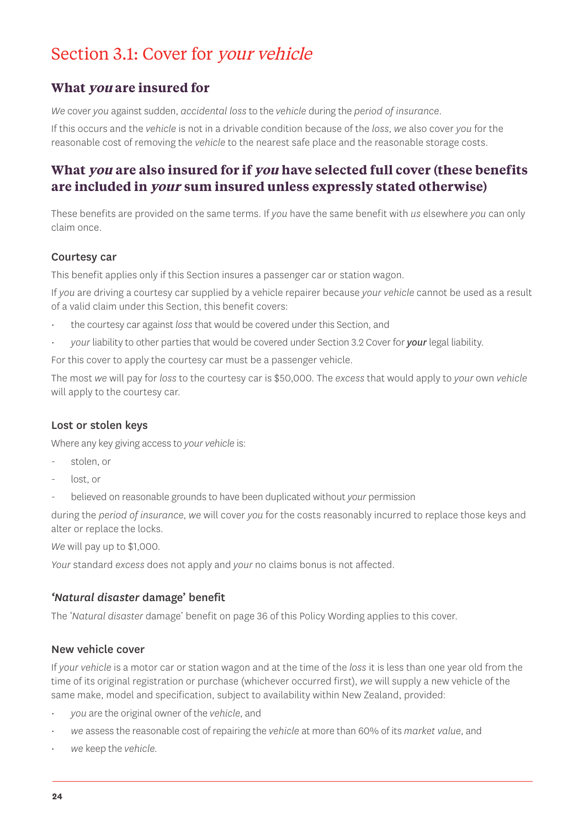## Section 3.1: Cover for your vehicle

#### **What you are insured for**

*We* cover *you* against sudden, *accidental loss* to the *vehicle* during the *period of insurance*.

If this occurs and the *vehicle* is not in a drivable condition because of the *loss*, *we* also cover *you* for the reasonable cost of removing the *vehicle* to the nearest safe place and the reasonable storage costs.

#### **What you are also insured for if you have selected full cover (these benefits are included in your sum insured unless expressly stated otherwise)**

These benefits are provided on the same terms. If *you* have the same benefit with *us* elsewhere *you* can only claim once.

#### Courtesy car

This benefit applies only if this Section insures a passenger car or station wagon.

If *you* are driving a courtesy car supplied by a vehicle repairer because *your vehicle* cannot be used as a result of a valid claim under this Section, this benefit covers:

- the courtesy car against *loss* that would be covered under this Section, and
- *your* liability to other parties that would be covered under Section 3.2 Cover for *your* legal liability.

For this cover to apply the courtesy car must be a passenger vehicle.

The most *we* will pay for *loss* to the courtesy car is \$50,000. The *excess* that would apply to *your* own *vehicle* will apply to the courtesy car.

#### Lost or stolen keys

Where any key giving access to *your vehicle* is:

- stolen, or
- lost, or
- believed on reasonable grounds to have been duplicated without *your* permission

during the *period of insurance*, *we* will cover *you* for the costs reasonably incurred to replace those keys and alter or replace the locks.

*We* will pay up to \$1,000.

*Your* standard *excess* does not apply and *your* no claims bonus is not affected.

#### *'Natural disaster* damage' benefit

The '*Natural disaster* damage' benefit on page 36 of this Policy Wording applies to this cover.

#### New vehicle cover

If *your vehicle* is a motor car or station wagon and at the time of the *loss* it is less than one year old from the time of its original registration or purchase (whichever occurred first), *we* will supply a new vehicle of the same make, model and specification, subject to availability within New Zealand, provided:

- *you* are the original owner of the *vehicle*, and
- *we* assess the reasonable cost of repairing the *vehicle* at more than 60% of its *market value*, and
- *we* keep the *vehicle.*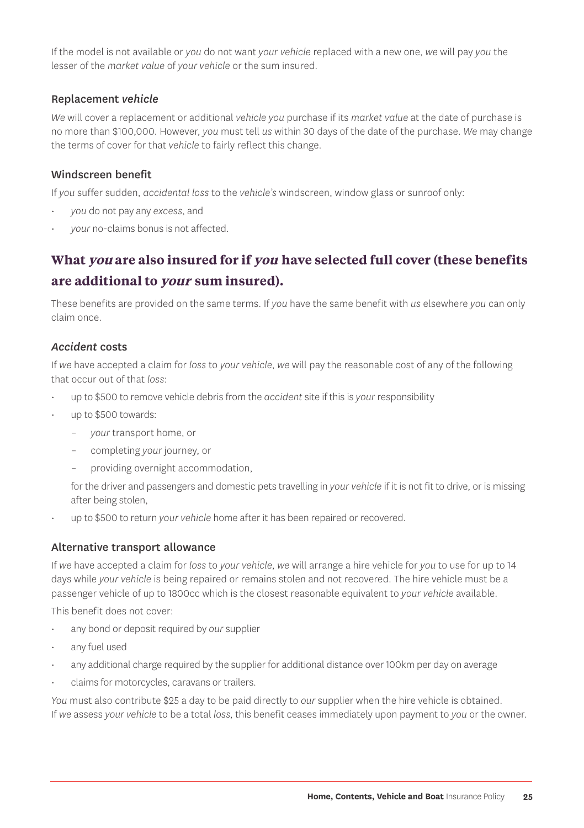If the model is not available or *you* do not want *your vehicle* replaced with a new one, *we* will pay *you* the lesser of the *market value* of *your vehicle* or the sum insured.

#### Replacement *vehicle*

*We* will cover a replacement or additional *vehicle you* purchase if its *market value* at the date of purchase is no more than \$100,000. However, *you* must tell *us* within 30 days of the date of the purchase. *We* may change the terms of cover for that *vehicle* to fairly reflect this change.

#### Windscreen benefit

If *you* suffer sudden, *accidental loss* to the *vehicle's* windscreen, window glass or sunroof only:

- *you* do not pay any *excess*, and
- *your* no-claims bonus is not affected.

### **What you are also insured for if you have selected full cover (these benefits are additional to your sum insured).**

These benefits are provided on the same terms. If *you* have the same benefit with *us* elsewhere *you* can only claim once.

#### *Accident* costs

If *we* have accepted a claim for *loss* to *your vehicle*, *we* will pay the reasonable cost of any of the following that occur out of that *loss*:

- up to \$500 to remove vehicle debris from the *accident* site if this is *your* responsibility
- up to \$500 towards:
	- *your* transport home, or
	- completing *your* journey, or
	- providing overnight accommodation,

for the driver and passengers and domestic pets travelling in *your vehicle* if it is not fit to drive, or is missing after being stolen,

• up to \$500 to return *your vehicle* home after it has been repaired or recovered.

#### Alternative transport allowance

If *we* have accepted a claim for *loss* to *your vehicle*, *we* will arrange a hire vehicle for *you* to use for up to 14 days while *your vehicle* is being repaired or remains stolen and not recovered. The hire vehicle must be a passenger vehicle of up to 1800cc which is the closest reasonable equivalent to *your vehicle* available.

This benefit does not cover:

- any bond or deposit required by *our* supplier
- any fuel used
- any additional charge required by the supplier for additional distance over 100km per day on average
- claims for motorcycles, caravans or trailers.

*You* must also contribute \$25 a day to be paid directly to *our* supplier when the hire vehicle is obtained. If *we* assess *your vehicle* to be a total *loss*, this benefit ceases immediately upon payment to *you* or the owner.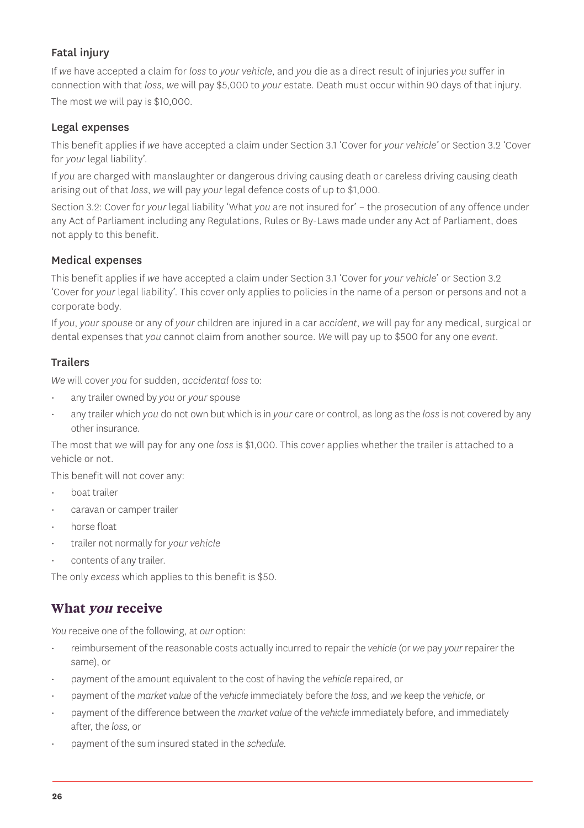#### Fatal injury

If *we* have accepted a claim for *loss* to *your vehicle*, and *you* die as a direct result of injuries *you* suffer in connection with that *loss*, *we* will pay \$5,000 to *your* estate. Death must occur within 90 days of that injury. The most *we* will pay is \$10,000.

#### Legal expenses

This benefit applies if *we* have accepted a claim under Section 3.1 'Cover for *your vehicle'* or Section 3.2 'Cover for *your* legal liability'.

If *you* are charged with manslaughter or dangerous driving causing death or careless driving causing death arising out of that *loss*, *we* will pay *your* legal defence costs of up to \$1,000.

Section 3.2: Cover for *your* legal liability 'What *you* are not insured for' – the prosecution of any offence under any Act of Parliament including any Regulations, Rules or By-Laws made under any Act of Parliament, does not apply to this benefit.

#### Medical expenses

This benefit applies if *we* have accepted a claim under Section 3.1 'Cover for *your vehicle*' or Section 3.2 'Cover for *your* legal liability'. This cover only applies to policies in the name of a person or persons and not a corporate body.

If *you*, *your spouse* or any of *your* children are injured in a car a*ccident*, *we* will pay for any medical, surgical or dental expenses that *you* cannot claim from another source. *We* will pay up to \$500 for any one *event*.

#### Trailers

*We* will cover *you* for sudden, *accidental loss* to:

- any trailer owned by *you* or *your* spouse
- any trailer which *you* do not own but which is in *your* care or control, as long as the *loss* is not covered by any other insurance.

The most that *we* will pay for any one *loss* is \$1,000. This cover applies whether the trailer is attached to a vehicle or not.

This benefit will not cover any:

- boat trailer
- caravan or camper trailer
- horse float
- trailer not normally for *your vehicle*
- contents of any trailer.

The only *excess* which applies to this benefit is \$50.

#### **What you receive**

*You* receive one of the following, at *our* option:

- reimbursement of the reasonable costs actually incurred to repair the *vehicle* (or *we* pay *your* repairer the same), or
- payment of the amount equivalent to the cost of having the *vehicle* repaired, or
- payment of the *market value* of the *vehicle* immediately before the *loss*, and *we* keep the *vehicle*, or
- payment of the difference between the *market value* of the *vehicle* immediately before, and immediately after, the *loss*, or
- payment of the sum insured stated in the *schedule.*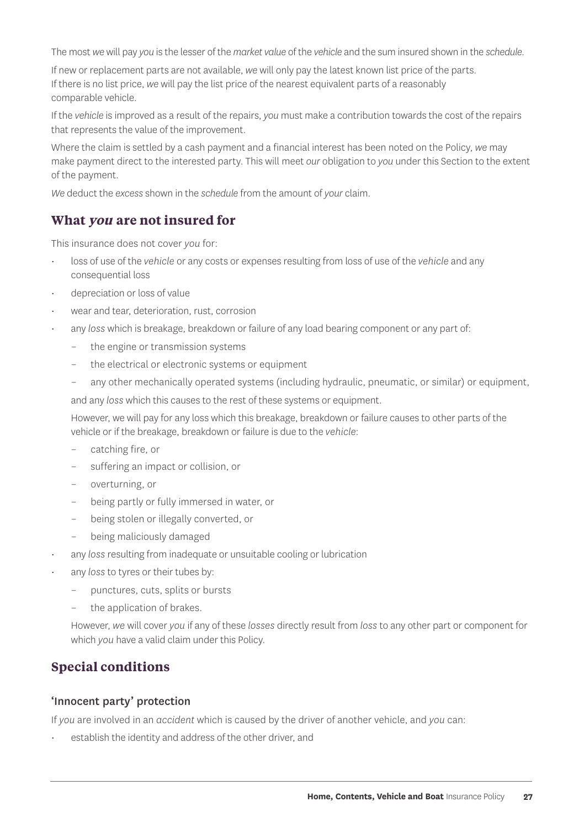The most *we* will pay *you* is the lesser of the *market value* of the *vehicle* and the sum insured shown in the *schedule*.

If new or replacement parts are not available, *we* will only pay the latest known list price of the parts. If there is no list price, *we* will pay the list price of the nearest equivalent parts of a reasonably comparable vehicle.

If the *vehicle* is improved as a result of the repairs, *you* must make a contribution towards the cost of the repairs that represents the value of the improvement.

Where the claim is settled by a cash payment and a financial interest has been noted on the Policy, *we* may make payment direct to the interested party. This will meet *our* obligation to *you* under this Section to the extent of the payment.

*We* deduct the *excess* shown in the *schedule* from the amount of *your* claim.

#### **What you are not insured for**

This insurance does not cover *you* for:

- loss of use of the *vehicle* or any costs or expenses resulting from loss of use of the *vehicle* and any consequential loss
- depreciation or loss of value
- wear and tear, deterioration, rust, corrosion
- any *loss* which is breakage, breakdown or failure of any load bearing component or any part of:
	- the engine or transmission systems
	- the electrical or electronic systems or equipment
	- any other mechanically operated systems (including hydraulic, pneumatic, or similar) or equipment,

and any *loss* which this causes to the rest of these systems or equipment.

However, we will pay for any loss which this breakage, breakdown or failure causes to other parts of the vehicle or if the breakage, breakdown or failure is due to the *vehicle*:

- catching fire, or
- suffering an impact or collision, or
- overturning, or
- being partly or fully immersed in water, or
- being stolen or illegally converted, or
- being maliciously damaged
- any *loss* resulting from inadequate or unsuitable cooling or lubrication
- any *loss* to tyres or their tubes by:
	- punctures, cuts, splits or bursts
	- the application of brakes.

However, *we* will cover *you* if any of these *losses* directly result from *loss* to any other part or component for which *you* have a valid claim under this Policy.

#### **Special conditions**

#### 'Innocent party' protection

If *you* are involved in an *accident* which is caused by the driver of another vehicle, and *you* can:

establish the identity and address of the other driver, and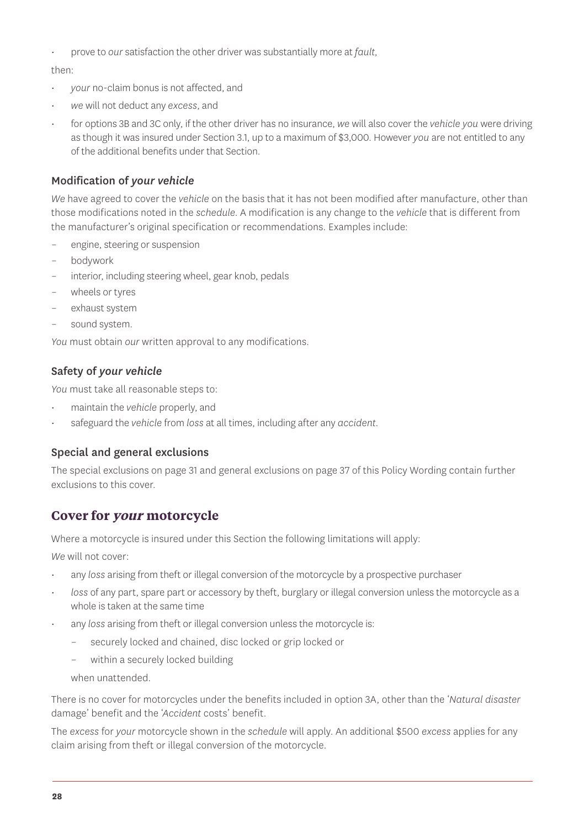• prove to *our* satisfaction the other driver was substantially more at *fault,*

then:

- *your* no-claim bonus is not affected, and
- *we* will not deduct any *excess*, and
- for options 3B and 3C only, if the other driver has no insurance, *we* will also cover the *vehicle you* were driving as though it was insured under Section 3.1, up to a maximum of \$3,000. However *you* are not entitled to any of the additional benefits under that Section.

#### Modification of *your vehicle*

*We* have agreed to cover the *vehicle* on the basis that it has not been modified after manufacture, other than those modifications noted in the *schedule*. A modification is any change to the *vehicle* that is different from the manufacturer's original specification or recommendations. Examples include:

- engine, steering or suspension
- bodywork
- interior, including steering wheel, gear knob, pedals
- wheels or tyres
- exhaust system
- sound system.

*You* must obtain *our* written approval to any modifications.

#### Safety of *your vehicle*

*You* must take all reasonable steps to:

- maintain the *vehicle* properly, and
- safeguard the *vehicle* from *loss* at all times, including after any *accident.*

#### Special and general exclusions

The special exclusions on page 31 and general exclusions on page 37 of this Policy Wording contain further exclusions to this cover.

#### **Cover for your motorcycle**

Where a motorcycle is insured under this Section the following limitations will apply:

*We* will not cover:

- any *loss* arising from theft or illegal conversion of the motorcycle by a prospective purchaser
- *loss* of any part, spare part or accessory by theft, burglary or illegal conversion unless the motorcycle as a whole is taken at the same time
- any *loss* arising from theft or illegal conversion unless the motorcycle is:
	- securely locked and chained, disc locked or grip locked or
	- within a securely locked building

when unattended.

There is no cover for motorcycles under the benefits included in option 3A, other than the '*Natural disaster* damage' benefit and the '*Accident* costs' benefit.

The *excess* for *your* motorcycle shown in the *schedule* will apply. An additional \$500 *excess* applies for any claim arising from theft or illegal conversion of the motorcycle.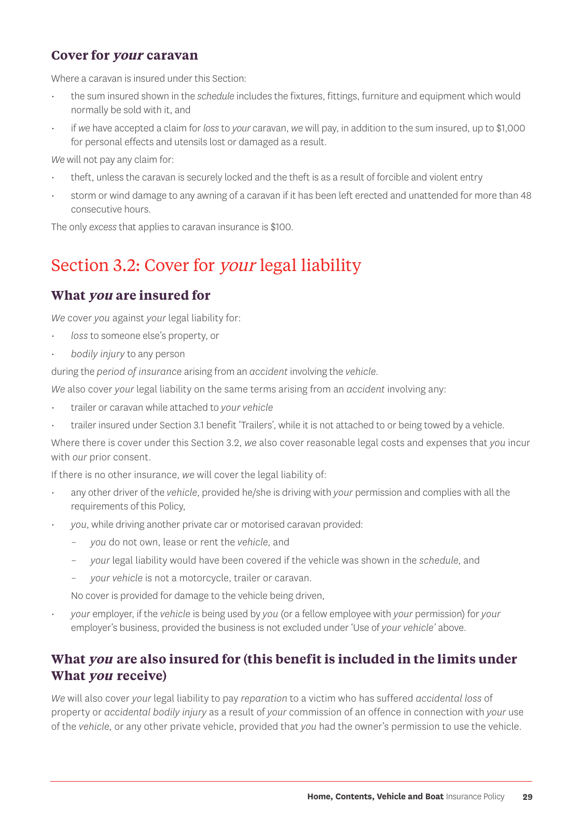#### **Cover for your caravan**

Where a caravan is insured under this Section:

- the sum insured shown in the *schedule* includes the fixtures, fittings, furniture and equipment which would normally be sold with it, and
- if *we* have accepted a claim for *loss* to *your* caravan, *we* will pay, in addition to the sum insured, up to \$1,000 for personal effects and utensils lost or damaged as a result.

*We* will not pay any claim for:

- theft, unless the caravan is securely locked and the theft is as a result of forcible and violent entry
- storm or wind damage to any awning of a caravan if it has been left erected and unattended for more than 48 consecutive hours.

The only *excess* that applies to caravan insurance is \$100.

## Section 3.2: Cover for your legal liability

#### **What you are insured for**

*We* cover *you* against *your* legal liability for:

- *loss* to someone else's property, or
- *bodily injury* to any person

during the *period of insurance* arising from an *accident* involving the *vehicle*.

*We* also cover *your* legal liability on the same terms arising from an *accident* involving any:

- trailer or caravan while attached to *your vehicle*
- trailer insured under Section 3.1 benefit 'Trailers', while it is not attached to or being towed by a vehicle.

Where there is cover under this Section 3.2, *we* also cover reasonable legal costs and expenses that *you* incur with *our* prior consent.

If there is no other insurance, *we* will cover the legal liability of:

- any other driver of the *vehicle*, provided he/she is driving with *your* permission and complies with all the requirements of this Policy,
- *you*, while driving another private car or motorised caravan provided:
	- *you* do not own, lease or rent the *vehicle*, and
	- *your* legal liability would have been covered if the vehicle was shown in the *schedule*, and
	- *your vehicle* is not a motorcycle, trailer or caravan.

No cover is provided for damage to the vehicle being driven,

• *your* employer, if the *vehicle* is being used by *you* (or a fellow employee with *your* permission) for *your* employer's business, provided the business is not excluded under 'Use of *your vehicle'* above.

#### **What you are also insured for (this benefit is included in the limits under What you receive)**

*We* will also cover *your* legal liability to pay *reparation* to a victim who has suffered *accidental loss* of property or *accidental bodily injury* as a result of *your* commission of an offence in connection with *your* use of the *vehicle*, or any other private vehicle, provided that *you* had the owner's permission to use the vehicle.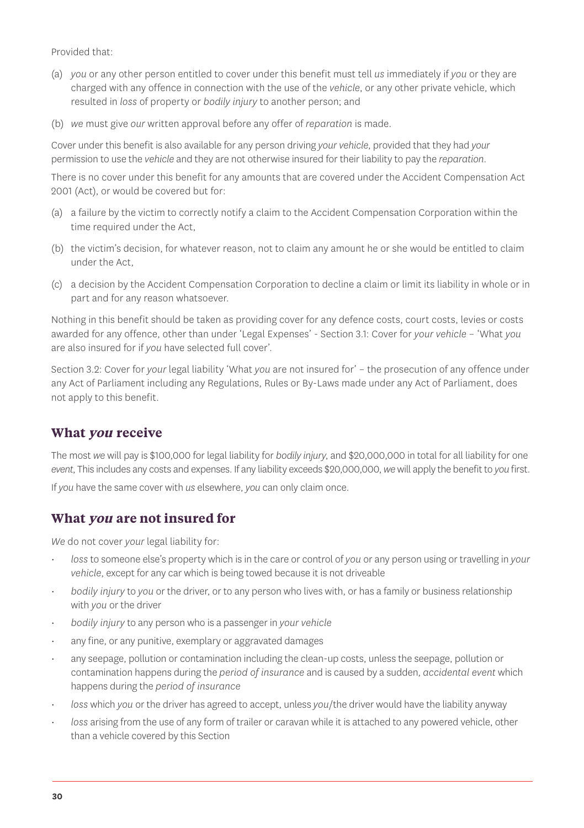Provided that:

- (a) *you* or any other person entitled to cover under this benefit must tell *us* immediately if *you* or they are charged with any offence in connection with the use of the *vehicle*, or any other private vehicle, which resulted in *loss* of property or *bodily injury* to another person; and
- (b) *we* must give *our* written approval before any offer of *reparation* is made.

Cover under this benefit is also available for any person driving *your vehicle*, provided that they had *your* permission to use the *vehicle* and they are not otherwise insured for their liability to pay the *reparation*.

There is no cover under this benefit for any amounts that are covered under the Accident Compensation Act 2001 (Act), or would be covered but for:

- (a) a failure by the victim to correctly notify a claim to the Accident Compensation Corporation within the time required under the Act,
- (b) the victim's decision, for whatever reason, not to claim any amount he or she would be entitled to claim under the Act,
- (c) a decision by the Accident Compensation Corporation to decline a claim or limit its liability in whole or in part and for any reason whatsoever.

Nothing in this benefit should be taken as providing cover for any defence costs, court costs, levies or costs awarded for any offence, other than under 'Legal Expenses' - Section 3.1: Cover for *your vehicle* – 'What *you* are also insured for if *you* have selected full cover'.

Section 3.2: Cover for *your* legal liability 'What *you* are not insured for' – the prosecution of any offence under any Act of Parliament including any Regulations, Rules or By-Laws made under any Act of Parliament, does not apply to this benefit.

#### **What you receive**

The most *we* will pay is \$100,000 for legal liability for *bodily injury*, and \$20,000,000 in total for all liability for one *event*, This includes any costs and expenses. If any liability exceeds \$20,000,000, *we* will apply the benefit to *you* first. If *you* have the same cover with *us* elsewhere, *you* can only claim once.

#### **What you are not insured for**

*We* do not cover *your* legal liability for:

- *loss* to someone else's property which is in the care or control of *you* or any person using or travelling in *your vehicle*, except for any car which is being towed because it is not driveable
- *bodily injury* to *you* or the driver, or to any person who lives with, or has a family or business relationship with *you* or the driver
- *bodily injury* to any person who is a passenger in *your vehicle*
- any fine, or any punitive, exemplary or aggravated damages
- any seepage, pollution or contamination including the clean-up costs, unless the seepage, pollution or contamination happens during the *period of insurance* and is caused by a sudden, *accidental event* which happens during the *period of insurance*
- *loss* which *you* or the driver has agreed to accept, unless *you*/the driver would have the liability anyway
- *loss* arising from the use of any form of trailer or caravan while it is attached to any powered vehicle, other than a vehicle covered by this Section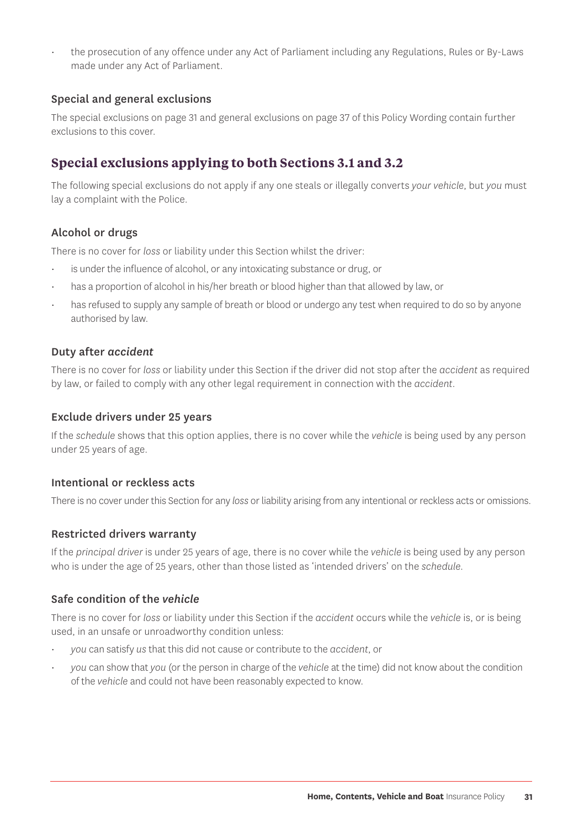• the prosecution of any offence under any Act of Parliament including any Regulations, Rules or By-Laws made under any Act of Parliament.

#### Special and general exclusions

The special exclusions on page 31 and general exclusions on page 37 of this Policy Wording contain further exclusions to this cover.

#### **Special exclusions applying to both Sections 3.1 and 3.2**

The following special exclusions do not apply if any one steals or illegally converts *your vehicle*, but *you* must lay a complaint with the Police.

#### Alcohol or drugs

There is no cover for *loss* or liability under this Section whilst the driver:

- is under the influence of alcohol, or any intoxicating substance or drug, or
- has a proportion of alcohol in his/her breath or blood higher than that allowed by law, or
- has refused to supply any sample of breath or blood or undergo any test when required to do so by anyone authorised by law.

#### Duty after *accident*

There is no cover for *loss* or liability under this Section if the driver did not stop after the *accident* as required by law, or failed to comply with any other legal requirement in connection with the *accident*.

#### Exclude drivers under 25 years

If the *schedule* shows that this option applies, there is no cover while the *vehicle* is being used by any person under 25 years of age.

#### Intentional or reckless acts

There is no cover under this Section for any *loss* or liability arising from any intentional or reckless acts or omissions.

#### Restricted drivers warranty

If the *principal driver* is under 25 years of age, there is no cover while the *vehicle* is being used by any person who is under the age of 25 years, other than those listed as 'intended drivers' on the *schedule*.

#### Safe condition of the *vehicle*

There is no cover for *loss* or liability under this Section if the *accident* occurs while the *vehicle* is, or is being used, in an unsafe or unroadworthy condition unless:

- *you* can satisfy *us* that this did not cause or contribute to the *accident*, or
- *you* can show that *you* (or the person in charge of the *vehicle* at the time) did not know about the condition of the *vehicle* and could not have been reasonably expected to know.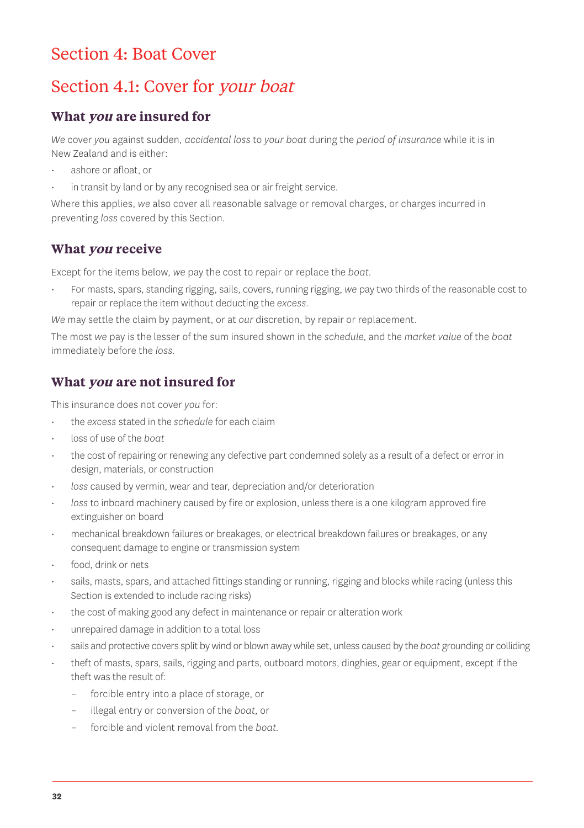## Section 4: Boat Cover

## Section 4.1: Cover for your boat

#### **What you are insured for**

*We* cover *you* against sudden, *accidental loss* to *your boat* during the *period of insurance* while it is in New Zealand and is either:

- ashore or afloat, or
- in transit by land or by any recognised sea or air freight service.

Where this applies, *we* also cover all reasonable salvage or removal charges, or charges incurred in preventing *loss* covered by this Section.

#### **What you receive**

Except for the items below, *we* pay the cost to repair or replace the *boat*.

• For masts, spars, standing rigging, sails, covers, running rigging, *we* pay two thirds of the reasonable cost to repair or replace the item without deducting the *excess.*

*We* may settle the claim by payment, or at *our* discretion, by repair or replacement.

The most *we* pay is the lesser of the sum insured shown in the *schedule*, and the *market value* of the *boat* immediately before the *loss*.

#### **What you are not insured for**

This insurance does not cover *you* for:

- the *excess* stated in the *schedule* for each claim
- loss of use of the *boat*
- the cost of repairing or renewing any defective part condemned solely as a result of a defect or error in design, materials, or construction
- *loss* caused by vermin, wear and tear, depreciation and/or deterioration
- *loss* to inboard machinery caused by fire or explosion, unless there is a one kilogram approved fire extinguisher on board
- mechanical breakdown failures or breakages, or electrical breakdown failures or breakages, or any consequent damage to engine or transmission system
- food, drink or nets
- sails, masts, spars, and attached fittings standing or running, rigging and blocks while racing (unless this Section is extended to include racing risks)
- the cost of making good any defect in maintenance or repair or alteration work
- unrepaired damage in addition to a total loss
- sails and protective covers split by wind or blown away while set, unless caused by the *boat* grounding or colliding
- theft of masts, spars, sails, rigging and parts, outboard motors, dinghies, gear or equipment, except if the theft was the result of:
	- forcible entry into a place of storage, or
	- illegal entry or conversion of the *boat*, or
	- forcible and violent removal from the *boat.*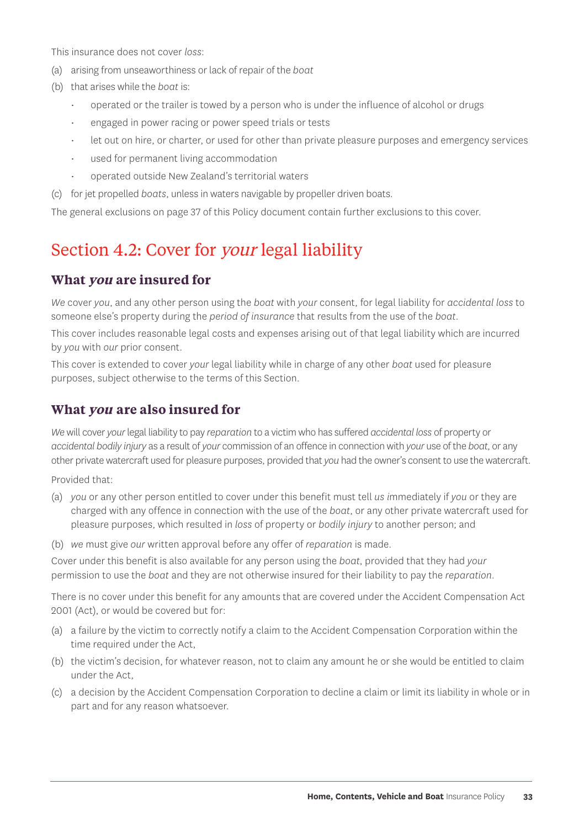This insurance does not cover *loss*:

- (a) arising from unseaworthiness or lack of repair of the *boat*
- (b) that arises while the *boat* is:
	- operated or the trailer is towed by a person who is under the influence of alcohol or drugs
	- engaged in power racing or power speed trials or tests
	- let out on hire, or charter, or used for other than private pleasure purposes and emergency services
	- used for permanent living accommodation
	- operated outside New Zealand's territorial waters
- (c) for jet propelled *boats*, unless in waters navigable by propeller driven boats.

The general exclusions on page 37 of this Policy document contain further exclusions to this cover.

## Section 4.2: Cover for *your* legal liability

#### **What you are insured for**

*We* cover *you*, and any other person using the *boat* with *your* consent, for legal liability for *accidental loss* to someone else's property during the *period of insurance* that results from the use of the *boat*.

This cover includes reasonable legal costs and expenses arising out of that legal liability which are incurred by *you* with *our* prior consent.

This cover is extended to cover *your* legal liability while in charge of any other *boat* used for pleasure purposes, subject otherwise to the terms of this Section.

#### **What you are also insured for**

*We* will cover *your* legal liability to pay *reparation* to a victim who has suffered *accidental loss* of property or *accidental bodily injury* as a result of *your* commission of an offence in connection with *your* use of the *boat*, or any other private watercraft used for pleasure purposes, provided that *you* had the owner's consent to use the watercraft.

Provided that:

- (a) *you* or any other person entitled to cover under this benefit must tell *us i*mmediately if *you* or they are charged with any offence in connection with the use of the *boat*, or any other private watercraft used for pleasure purposes, which resulted in *loss* of property or *bodily injury* to another person; and
- (b) *we* must give *our* written approval before any offer of *reparation* is made.

Cover under this benefit is also available for any person using the *boat*, provided that they had *your* permission to use the *boat* and they are not otherwise insured for their liability to pay the *reparation*.

There is no cover under this benefit for any amounts that are covered under the Accident Compensation Act 2001 (Act), or would be covered but for:

- (a) a failure by the victim to correctly notify a claim to the Accident Compensation Corporation within the time required under the Act,
- (b) the victim's decision, for whatever reason, not to claim any amount he or she would be entitled to claim under the Act,
- (c) a decision by the Accident Compensation Corporation to decline a claim or limit its liability in whole or in part and for any reason whatsoever.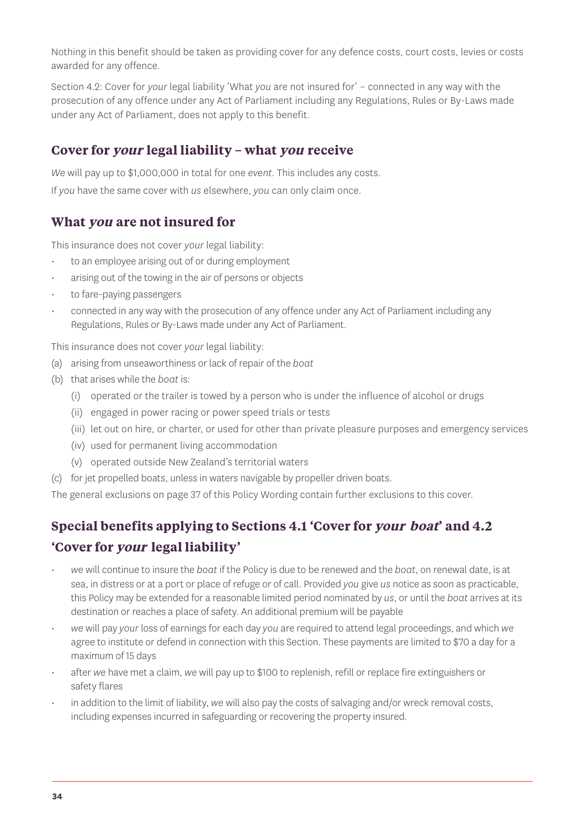Nothing in this benefit should be taken as providing cover for any defence costs, court costs, levies or costs awarded for any offence.

Section 4.2: Cover for *your* legal liability 'What *you* are not insured for' – connected in any way with the prosecution of any offence under any Act of Parliament including any Regulations, Rules or By-Laws made under any Act of Parliament, does not apply to this benefit.

#### **Cover for your legal liability – what you receive**

*We* will pay up to \$1,000,000 in total for one *event*. This includes any costs.

If *you* have the same cover with *us* elsewhere, *you* can only claim once.

#### **What you are not insured for**

This insurance does not cover *your* legal liability:

- to an employee arising out of or during employment
- arising out of the towing in the air of persons or objects
- to fare-paying passengers
- connected in any way with the prosecution of any offence under any Act of Parliament including any Regulations, Rules or By-Laws made under any Act of Parliament.

This insurance does not cover *your* legal liability:

- (a) arising from unseaworthiness or lack of repair of the *boat*
- (b) that arises while the *boat* is:
	- (i) operated or the trailer is towed by a person who is under the influence of alcohol or drugs
	- (ii) engaged in power racing or power speed trials or tests
	- (iii) let out on hire, or charter, or used for other than private pleasure purposes and emergency services
	- (iv) used for permanent living accommodation
	- (v) operated outside New Zealand's territorial waters
- (c) for jet propelled boats, unless in waters navigable by propeller driven boats.

The general exclusions on page 37 of this Policy Wording contain further exclusions to this cover.

## **Special benefits applying to Sections 4.1 'Cover for your boat' and 4.2 'Cover for your legal liability'**

- *we* will continue to insure the *boat* if the Policy is due to be renewed and the *boat*, on renewal date, is at sea, in distress or at a port or place of refuge or of call. Provided *you* give *us* notice as soon as practicable, this Policy may be extended for a reasonable limited period nominated by *us*, or until the *boat* arrives at its destination or reaches a place of safety. An additional premium will be payable
- *we* will pay *your* loss of earnings for each day *you* are required to attend legal proceedings, and which *we* agree to institute or defend in connection with this Section. These payments are limited to \$70 a day for a maximum of 15 days
- after *we* have met a claim, *we* will pay up to \$100 to replenish, refill or replace fire extinguishers or safety flares
- in addition to the limit of liability, *we* will also pay the costs of salvaging and/or wreck removal costs, including expenses incurred in safeguarding or recovering the property insured.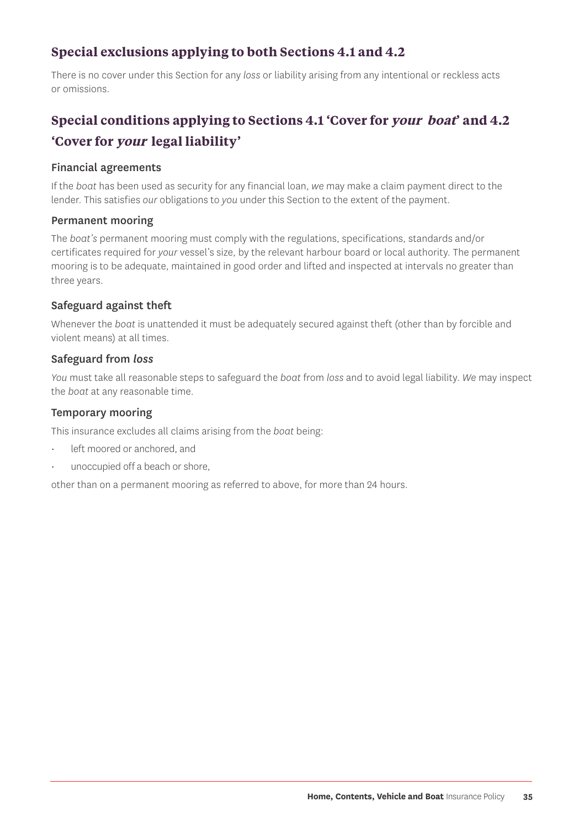#### **Special exclusions applying to both Sections 4.1 and 4.2**

There is no cover under this Section for any *loss* or liability arising from any intentional or reckless acts or omissions.

## **Special conditions applying to Sections 4.1 'Cover for your boat' and 4.2 'Cover for your legal liability'**

#### Financial agreements

If the *boat* has been used as security for any financial loan, *we* may make a claim payment direct to the lender. This satisfies *our* obligations to *you* under this Section to the extent of the payment.

#### Permanent mooring

The *boat's* permanent mooring must comply with the regulations, specifications, standards and/or certificates required for *your* vessel's size, by the relevant harbour board or local authority. The permanent mooring is to be adequate, maintained in good order and lifted and inspected at intervals no greater than three years.

#### Safeguard against theft

Whenever the *boat* is unattended it must be adequately secured against theft (other than by forcible and violent means) at all times.

#### Safeguard from *loss*

*You* must take all reasonable steps to safeguard the *boat* from *loss* and to avoid legal liability. *We* may inspect the *boat* at any reasonable time.

#### Temporary mooring

This insurance excludes all claims arising from the *boat* being:

- left moored or anchored, and
- unoccupied off a beach or shore,

other than on a permanent mooring as referred to above, for more than 24 hours.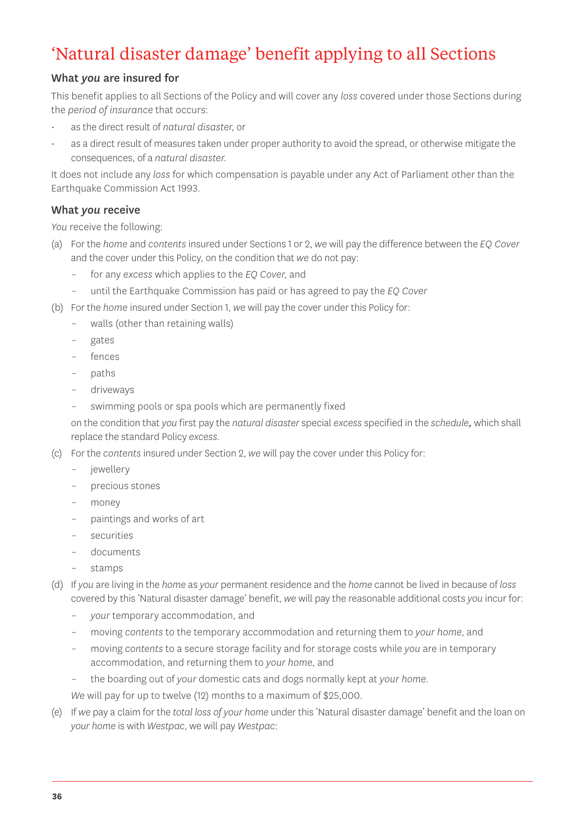## 'Natural disaster damage' benefit applying to all Sections

#### What *you* are insured for

This benefit applies to all Sections of the Policy and will cover any *loss* covered under those Sections during the *period of insurance* that occurs:

- as the direct result of *natural disaster*, or
- as a direct result of measures taken under proper authority to avoid the spread, or otherwise mitigate the consequences, of a *natural disaster.*

It does not include any *loss* for which compensation is payable under any Act of Parliament other than the Earthquake Commission Act 1993.

#### What *you* receive

*You* receive the following:

- (a) For the *home* and *contents* insured under Sections 1 or 2, *we* will pay the difference between the *EQ Cover* and the cover under this Policy, on the condition that *we* do not pay:
	- for any *excess* which applies to the *EQ Cover*, and
	- until the Earthquake Commission has paid or has agreed to pay the *EQ Cover*
- (b) For the *home* insured under Section 1, *we* will pay the cover under this Policy for:
	- walls (other than retaining walls)
	- gates
	- fences
	- paths
	- driveways
	- swimming pools or spa pools which are permanently fixed

on the condition that *you* first pay the *natural disaster* special *excess* specified in the *schedule,* which shall replace the standard Policy *excess*.

- (c) For the *contents* insured under Section 2, *we* will pay the cover under this Policy for:
	- jewellery
	- precious stones
	- money
	- paintings and works of art
	- securities
	- documents
	- stamps
- (d) If *you* are living in the *home* as *your* permanent residence and the *home* cannot be lived in because of *loss* covered by this 'Natural disaster damage' benefit, *we* will pay the reasonable additional costs *you* incur for:
	- *your* temporary accommodation, and
	- moving *contents* to the temporary accommodation and returning them to *your home*, and
	- moving *contents* to a secure storage facility and for storage costs while *you* are in temporary accommodation, and returning them to *your home*, and
	- the boarding out of *your* domestic cats and dogs normally kept at *your home*.

*We* will pay for up to twelve (12) months to a maximum of \$25,000.

(e) If *we* pay a claim for the *total loss of your home* under this 'Natural disaster damage' benefit and the loan on *your home* is with *Westpac*, we will pay *Westpac*: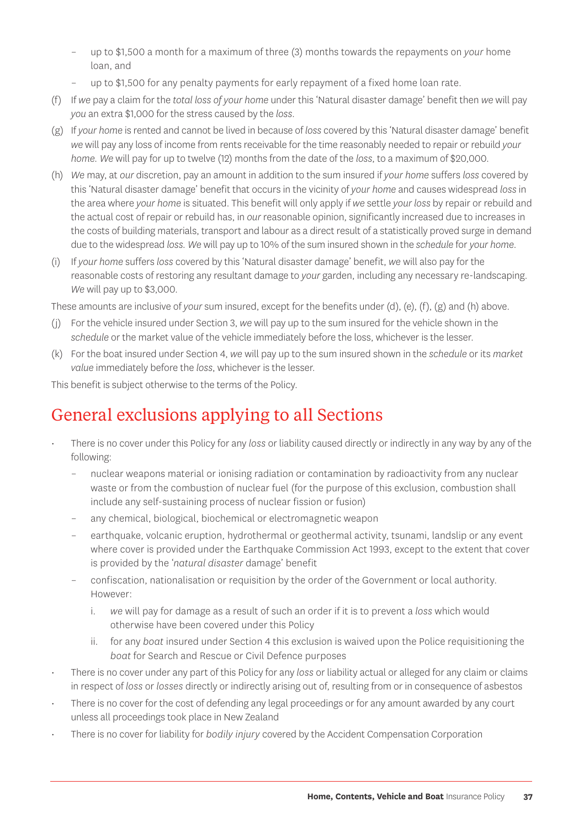- up to \$1,500 a month for a maximum of three (3) months towards the repayments on *your* home loan, and
- up to \$1,500 for any penalty payments for early repayment of a fixed home loan rate.
- (f) If *we* pay a claim for the *total loss of your home* under this 'Natural disaster damage' benefit then *we* will pay *you* an extra \$1,000 for the stress caused by the *loss*.
- (g) If *your home* is rented and cannot be lived in because of *loss* covered by this 'Natural disaster damage' benefit *we* will pay any loss of income from rents receivable for the time reasonably needed to repair or rebuild *your home. We* will pay for up to twelve (12) months from the date of the *loss*, to a maximum of \$20,000.
- (h) *We* may, at *our* discretion, pay an amount in addition to the sum insured if *your home* suffers *loss* covered by this 'Natural disaster damage' benefit that occurs in the vicinity of *your home* and causes widespread *loss* in the area where *your home* is situated. This benefit will only apply if *we* settle *your loss* by repair or rebuild and the actual cost of repair or rebuild has, in *our* reasonable opinion, significantly increased due to increases in the costs of building materials, transport and labour as a direct result of a statistically proved surge in demand due to the widespread *loss. We* will pay up to 10% of the sum insured shown in the *schedule* for *your home*.
- (i) If *your home* suffers *loss* covered by this 'Natural disaster damage' benefit, *we* will also pay for the reasonable costs of restoring any resultant damage to *your* garden, including any necessary re-landscaping. *We* will pay up to \$3,000.

These amounts are inclusive of *your* sum insured, except for the benefits under (d), (e), (f), (g) and (h) above.

- (j) For the vehicle insured under Section 3, *we* will pay up to the sum insured for the vehicle shown in the *schedule* or the market value of the vehicle immediately before the loss, whichever is the lesser.
- (k) For the boat insured under Section 4, *we* will pay up to the sum insured shown in the *schedule* or its *market value* immediately before the *loss*, whichever is the lesser.

This benefit is subject otherwise to the terms of the Policy.

## General exclusions applying to all Sections

- There is no cover under this Policy for any *loss* or liability caused directly or indirectly in any way by any of the following:
	- nuclear weapons material or ionising radiation or contamination by radioactivity from any nuclear waste or from the combustion of nuclear fuel (for the purpose of this exclusion, combustion shall include any self-sustaining process of nuclear fission or fusion)
	- any chemical, biological, biochemical or electromagnetic weapon
	- earthquake, volcanic eruption, hydrothermal or geothermal activity, tsunami, landslip or any event where cover is provided under the Earthquake Commission Act 1993, except to the extent that cover is provided by the '*natural disaster* damage' benefit
	- confiscation, nationalisation or requisition by the order of the Government or local authority. However:
		- i. *we* will pay for damage as a result of such an order if it is to prevent a *loss* which would otherwise have been covered under this Policy
		- ii. for any *boat* insured under Section 4 this exclusion is waived upon the Police requisitioning the *boat* for Search and Rescue or Civil Defence purposes
- There is no cover under any part of this Policy for any *loss* or liability actual or alleged for any claim or claims in respect of *loss* or *losses* directly or indirectly arising out of, resulting from or in consequence of asbestos
- There is no cover for the cost of defending any legal proceedings or for any amount awarded by any court unless all proceedings took place in New Zealand
- There is no cover for liability for *bodily injury* covered by the Accident Compensation Corporation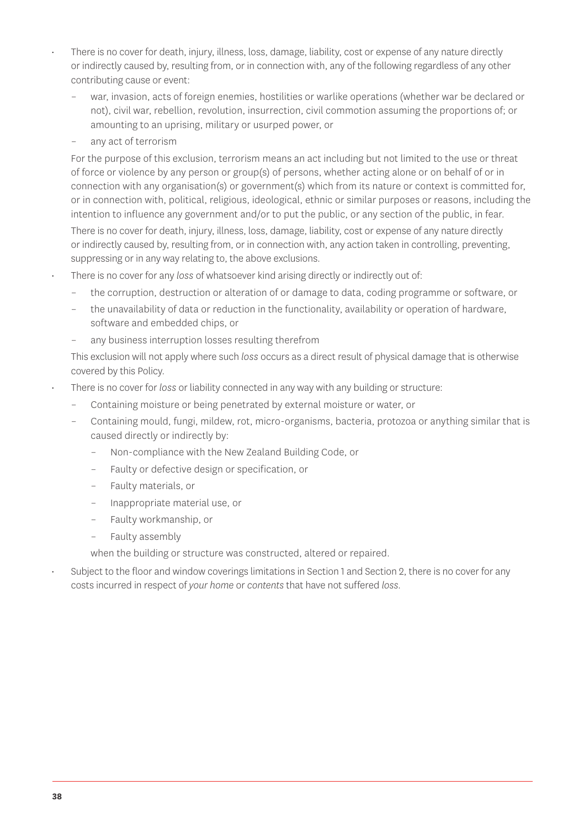- There is no cover for death, injury, illness, loss, damage, liability, cost or expense of any nature directly or indirectly caused by, resulting from, or in connection with, any of the following regardless of any other contributing cause or event:
	- war, invasion, acts of foreign enemies, hostilities or warlike operations (whether war be declared or not), civil war, rebellion, revolution, insurrection, civil commotion assuming the proportions of; or amounting to an uprising, military or usurped power, or
	- any act of terrorism

For the purpose of this exclusion, terrorism means an act including but not limited to the use or threat of force or violence by any person or group(s) of persons, whether acting alone or on behalf of or in connection with any organisation(s) or government(s) which from its nature or context is committed for, or in connection with, political, religious, ideological, ethnic or similar purposes or reasons, including the intention to influence any government and/or to put the public, or any section of the public, in fear.

There is no cover for death, injury, illness, loss, damage, liability, cost or expense of any nature directly or indirectly caused by, resulting from, or in connection with, any action taken in controlling, preventing, suppressing or in any way relating to, the above exclusions.

- There is no cover for any *loss* of whatsoever kind arising directly or indirectly out of:
	- the corruption, destruction or alteration of or damage to data, coding programme or software, or
	- the unavailability of data or reduction in the functionality, availability or operation of hardware, software and embedded chips, or
	- any business interruption losses resulting therefrom

This exclusion will not apply where such *loss* occurs as a direct result of physical damage that is otherwise covered by this Policy.

- There is no cover for *loss* or liability connected in any way with any building or structure:
	- Containing moisture or being penetrated by external moisture or water, or
	- Containing mould, fungi, mildew, rot, micro-organisms, bacteria, protozoa or anything similar that is caused directly or indirectly by:
		- Non-compliance with the New Zealand Building Code, or
		- Faulty or defective design or specification, or
		- Faulty materials, or
		- Inappropriate material use, or
		- Faulty workmanship, or
		- Faulty assembly

when the building or structure was constructed, altered or repaired.

• Subject to the floor and window coverings limitations in Section 1 and Section 2, there is no cover for any costs incurred in respect of *your home* or *contents* that have not suffered *loss*.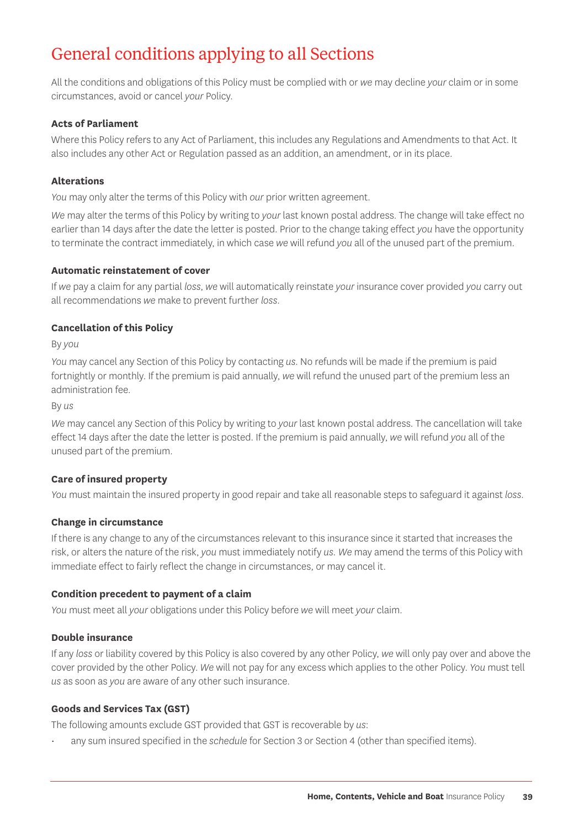## General conditions applying to all Sections

All the conditions and obligations of this Policy must be complied with or *we* may decline *your* claim or in some circumstances, avoid or cancel *your* Policy.

#### **Acts of Parliament**

Where this Policy refers to any Act of Parliament, this includes any Regulations and Amendments to that Act. It also includes any other Act or Regulation passed as an addition, an amendment, or in its place.

#### **Alterations**

*You* may only alter the terms of this Policy with *our* prior written agreement.

*We* may alter the terms of this Policy by writing to *your* last known postal address. The change will take effect no earlier than 14 days after the date the letter is posted. Prior to the change taking effect *you* have the opportunity to terminate the contract immediately, in which case *we* will refund *you* all of the unused part of the premium.

#### **Automatic reinstatement of cover**

If *we* pay a claim for any partial *loss*, *we* will automatically reinstate *your* insurance cover provided *you* carry out all recommendations *we* make to prevent further *loss*.

#### **Cancellation of this Policy**

By *you*

*You* may cancel any Section of this Policy by contacting *us*. No refunds will be made if the premium is paid fortnightly or monthly. If the premium is paid annually, *we* will refund the unused part of the premium less an administration fee.

By *us*

*We* may cancel any Section of this Policy by writing to *your* last known postal address. The cancellation will take effect 14 days after the date the letter is posted. If the premium is paid annually, *we* will refund *you* all of the unused part of the premium.

#### **Care of insured property**

*You* must maintain the insured property in good repair and take all reasonable steps to safeguard it against *loss*.

#### **Change in circumstance**

If there is any change to any of the circumstances relevant to this insurance since it started that increases the risk, or alters the nature of the risk, *you* must immediately notify *us. We* may amend the terms of this Policy with immediate effect to fairly reflect the change in circumstances, or may cancel it.

#### **Condition precedent to payment of a claim**

*You* must meet all *your* obligations under this Policy before *we* will meet *your* claim.

#### **Double insurance**

If any *loss* or liability covered by this Policy is also covered by any other Policy, *we* will only pay over and above the cover provided by the other Policy. *We* will not pay for any excess which applies to the other Policy. *You* must tell *us* as soon as *you* are aware of any other such insurance.

#### **Goods and Services Tax (GST)**

The following amounts exclude GST provided that GST is recoverable by *us*:

• any sum insured specified in the *schedule* for Section 3 or Section 4 (other than specified items).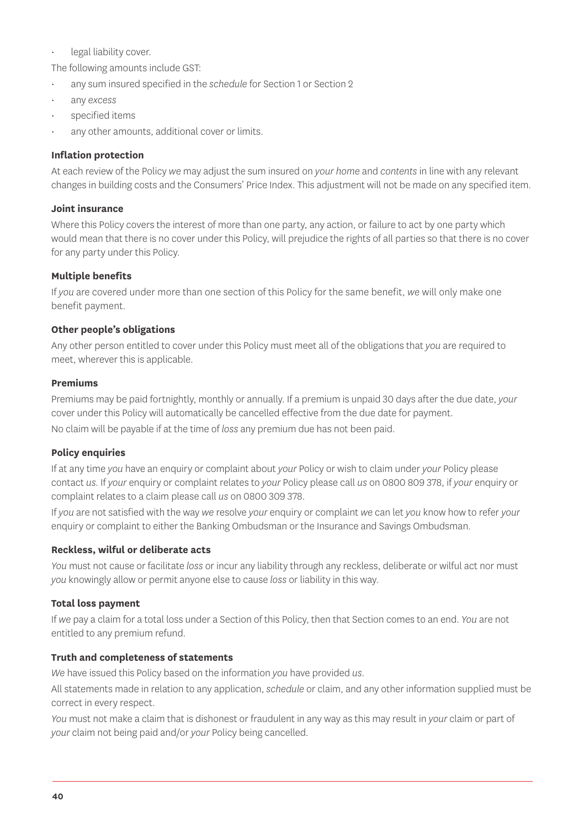#### legal liability cover.

The following amounts include GST:

- any sum insured specified in the *schedule* for Section 1 or Section 2
- any *excess*
- specified items
- any other amounts, additional cover or limits.

#### **Inflation protection**

At each review of the Policy *we* may adjust the sum insured on *your home* and *contents* in line with any relevant changes in building costs and the Consumers' Price Index. This adjustment will not be made on any specified item.

#### **Joint insurance**

Where this Policy covers the interest of more than one party, any action, or failure to act by one party which would mean that there is no cover under this Policy, will prejudice the rights of all parties so that there is no cover for any party under this Policy.

#### **Multiple benefits**

If *you* are covered under more than one section of this Policy for the same benefit, *we* will only make one benefit payment.

#### **Other people's obligations**

Any other person entitled to cover under this Policy must meet all of the obligations that *you* are required to meet, wherever this is applicable.

#### **Premiums**

Premiums may be paid fortnightly, monthly or annually. If a premium is unpaid 30 days after the due date, *your* cover under this Policy will automatically be cancelled effective from the due date for payment. No claim will be payable if at the time of *loss* any premium due has not been paid.

#### **Policy enquiries**

If at any time *you* have an enquiry or complaint about *your* Policy or wish to claim under *your* Policy please contact *us*. If *your* enquiry or complaint relates to *your* Policy please call *us* on 0800 809 378, if *your* enquiry or complaint relates to a claim please call *us* on 0800 309 378.

If *you* are not satisfied with the way *we* resolve *your* enquiry or complaint *we* can let *you* know how to refer *your* enquiry or complaint to either the Banking Ombudsman or the Insurance and Savings Ombudsman.

#### **Reckless, wilful or deliberate acts**

*You* must not cause or facilitate *loss* or incur any liability through any reckless, deliberate or wilful act nor must *you* knowingly allow or permit anyone else to cause *loss* or liability in this way.

#### **Total loss payment**

If *we* pay a claim for a total loss under a Section of this Policy, then that Section comes to an end. *You* are not entitled to any premium refund.

#### **Truth and completeness of statements**

*We* have issued this Policy based on the information *you* have provided *us*.

All statements made in relation to any application, *schedule* or claim, and any other information supplied must be correct in every respect.

*You* must not make a claim that is dishonest or fraudulent in any way as this may result in *your* claim or part of *your* claim not being paid and/or *your* Policy being cancelled.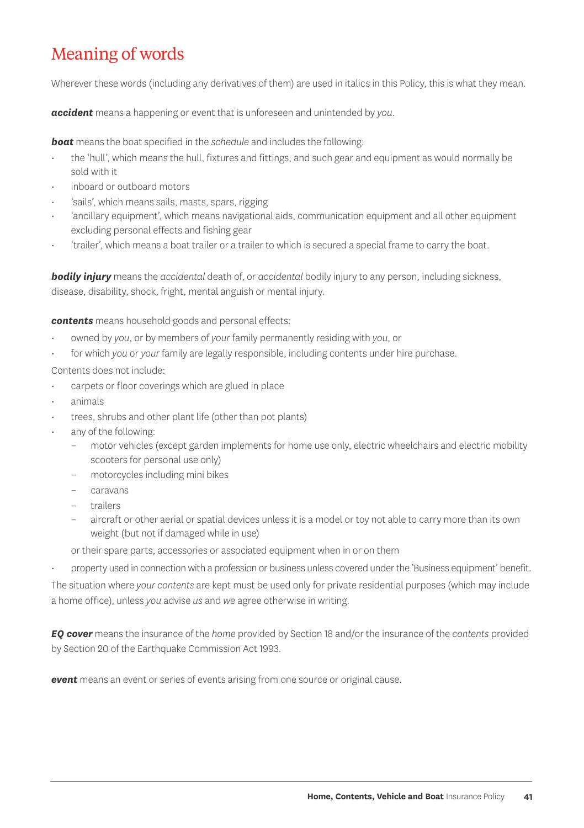## Meaning of words

Wherever these words (including any derivatives of them) are used in italics in this Policy, this is what they mean.

*accident* means a happening or event that is unforeseen and unintended by *you*.

*boat* means the boat specified in the *schedule* and includes the following:

- the 'hull', which means the hull, fixtures and fittings, and such gear and equipment as would normally be sold with it
- inboard or outboard motors
- 'sails', which means sails, masts, spars, rigging
- 'ancillary equipment', which means navigational aids, communication equipment and all other equipment excluding personal effects and fishing gear
- 'trailer', which means a boat trailer or a trailer to which is secured a special frame to carry the boat.

*bodily injury* means the *accidental* death of, or *accidental* bodily injury to any person, including sickness, disease, disability, shock, fright, mental anguish or mental injury.

*contents* means household goods and personal effects:

- owned by *you*, or by members of *your* family permanently residing with *you*, or
- for which *you* or *your* family are legally responsible, including contents under hire purchase.

Contents does not include:

- carpets or floor coverings which are glued in place
- animals
- trees, shrubs and other plant life (other than pot plants)
- any of the following:
	- motor vehicles (except garden implements for home use only, electric wheelchairs and electric mobility scooters for personal use only)
	- motorcycles including mini bikes
	- caravans
	- trailers
	- aircraft or other aerial or spatial devices unless it is a model or toy not able to carry more than its own weight (but not if damaged while in use)

or their spare parts, accessories or associated equipment when in or on them

• property used in connection with a profession or business unless covered under the 'Business equipment' benefit.

The situation where *your contents* are kept must be used only for private residential purposes (which may include a home office), unless *you* advise *us* and *we* agree otherwise in writing.

*EQ cover* means the insurance of the *home* provided by Section 18 and/or the insurance of the *contents* provided by Section 20 of the Earthquake Commission Act 1993.

*event* means an event or series of events arising from one source or original cause.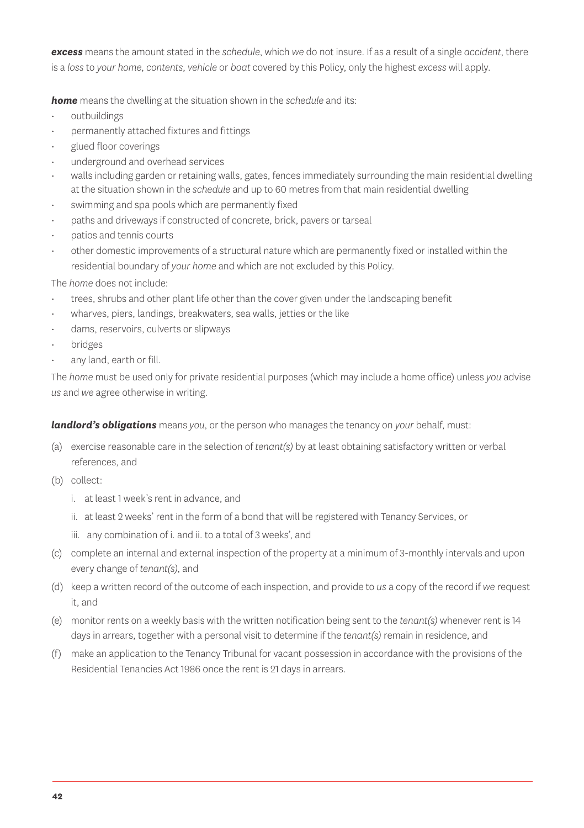*excess* means the amount stated in the *schedule*, which *we* do not insure. If as a result of a single *accident*, there is a *loss* to *your home*, *contents*, *vehicle* or *boat* covered by this Policy, only the highest *excess* will apply.

*home* means the dwelling at the situation shown in the *schedule* and its:

- outbuildings
- permanently attached fixtures and fittings
- glued floor coverings
- underground and overhead services
- walls including garden or retaining walls, gates, fences immediately surrounding the main residential dwelling at the situation shown in the *schedule* and up to 60 metres from that main residential dwelling
- swimming and spa pools which are permanently fixed
- paths and driveways if constructed of concrete, brick, pavers or tarseal
- patios and tennis courts
- other domestic improvements of a structural nature which are permanently fixed or installed within the residential boundary of *your home* and which are not excluded by this Policy.

The *home* does not include:

- trees, shrubs and other plant life other than the cover given under the landscaping benefit
- wharves, piers, landings, breakwaters, sea walls, jetties or the like
- dams, reservoirs, culverts or slipways
- bridges
- any land, earth or fill.

The *home* must be used only for private residential purposes (which may include a home office) unless *you* advise *us* and *we* agree otherwise in writing.

*landlord's obligations* means *you*, or the person who manages the tenancy on *your* behalf, must:

- (a) exercise reasonable care in the selection of *tenant(s)* by at least obtaining satisfactory written or verbal references, and
- (b) collect:
	- i. at least 1 week's rent in advance, and
	- ii. at least 2 weeks' rent in the form of a bond that will be registered with Tenancy Services, or
	- iii. any combination of i. and ii. to a total of 3 weeks', and
- (c) complete an internal and external inspection of the property at a minimum of 3-monthly intervals and upon every change of *tenant(s)*, and
- (d) keep a written record of the outcome of each inspection, and provide to *us* a copy of the record if *we* request it, and
- (e) monitor rents on a weekly basis with the written notification being sent to the *tenant(s)* whenever rent is 14 days in arrears, together with a personal visit to determine if the *tenant(s)* remain in residence, and
- (f) make an application to the Tenancy Tribunal for vacant possession in accordance with the provisions of the Residential Tenancies Act 1986 once the rent is 21 days in arrears.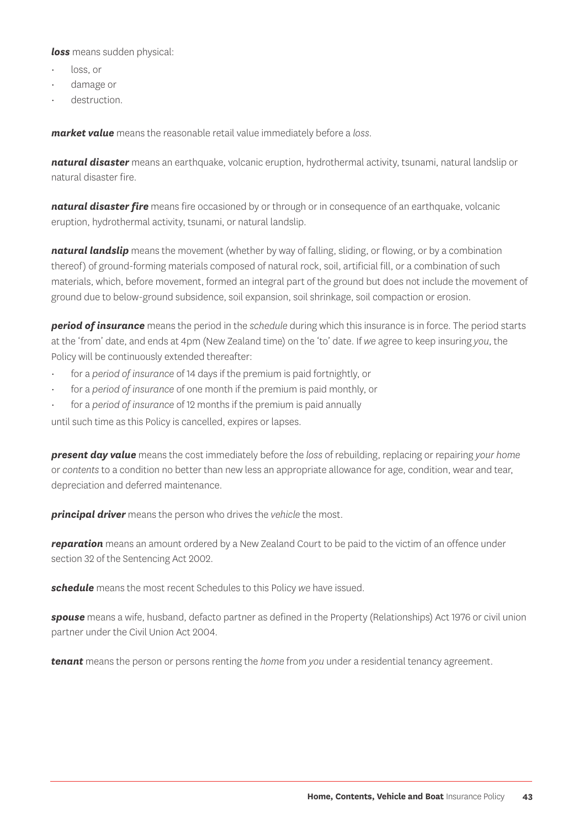*loss* means sudden physical:

- loss, or
- damage or
- destruction.

*market value* means the reasonable retail value immediately before a *loss*.

*natural disaster* means an earthquake, volcanic eruption, hydrothermal activity, tsunami, natural landslip or natural disaster fire.

**natural disaster fire** means fire occasioned by or through or in consequence of an earthquake, volcanic eruption, hydrothermal activity, tsunami, or natural landslip.

*natural landslip* means the movement (whether by way of falling, sliding, or flowing, or by a combination thereof) of ground-forming materials composed of natural rock, soil, artificial fill, or a combination of such materials, which, before movement, formed an integral part of the ground but does not include the movement of ground due to below-ground subsidence, soil expansion, soil shrinkage, soil compaction or erosion.

*period of insurance* means the period in the *schedule* during which this insurance is in force. The period starts at the 'from' date, and ends at 4pm (New Zealand time) on the 'to' date. If *we* agree to keep insuring *you*, the Policy will be continuously extended thereafter:

- for a *period of insurance* of 14 days if the premium is paid fortnightly, or
- for a *period of insurance* of one month if the premium is paid monthly, or
- for a *period of insurance* of 12 months if the premium is paid annually

until such time as this Policy is cancelled, expires or lapses.

*present day value* means the cost immediately before the *loss* of rebuilding, replacing or repairing *your home* or *contents* to a condition no better than new less an appropriate allowance for age, condition, wear and tear, depreciation and deferred maintenance.

*principal driver* means the person who drives the *vehicle* the most.

*reparation* means an amount ordered by a New Zealand Court to be paid to the victim of an offence under section 32 of the Sentencing Act 2002.

*schedule* means the most recent Schedules to this Policy *we* have issued.

*spouse* means a wife, husband, defacto partner as defined in the Property (Relationships) Act 1976 or civil union partner under the Civil Union Act 2004.

*tenant* means the person or persons renting the *home* from *you* under a residential tenancy agreement.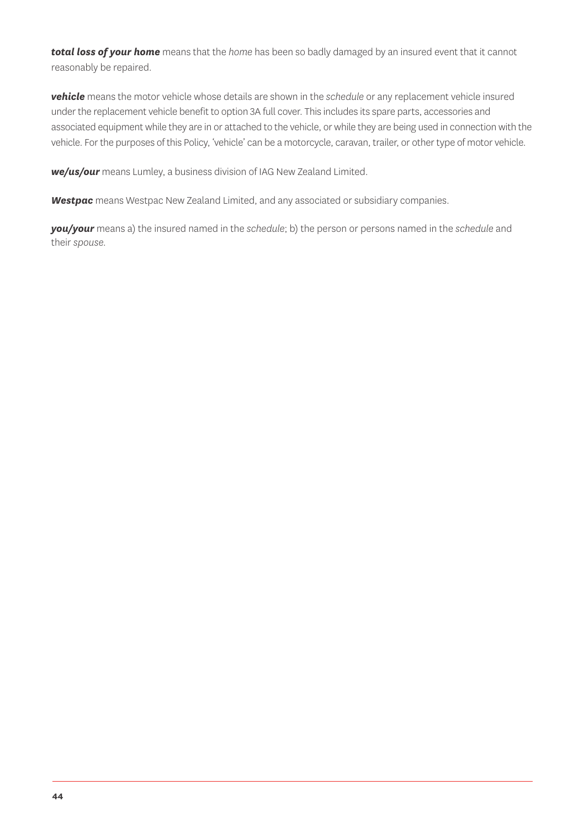*total loss of your home* means that the *home* has been so badly damaged by an insured event that it cannot reasonably be repaired.

*vehicle* means the motor vehicle whose details are shown in the *schedule* or any replacement vehicle insured under the replacement vehicle benefit to option 3A full cover. This includes its spare parts, accessories and associated equipment while they are in or attached to the vehicle, or while they are being used in connection with the vehicle. For the purposes of this Policy, 'vehicle' can be a motorcycle, caravan, trailer, or other type of motor vehicle.

*we/us/our* means Lumley, a business division of IAG New Zealand Limited.

*Westpac* means Westpac New Zealand Limited, and any associated or subsidiary companies.

*you/your* means a) the insured named in the *schedule*; b) the person or persons named in the *schedule* and their *spouse.*